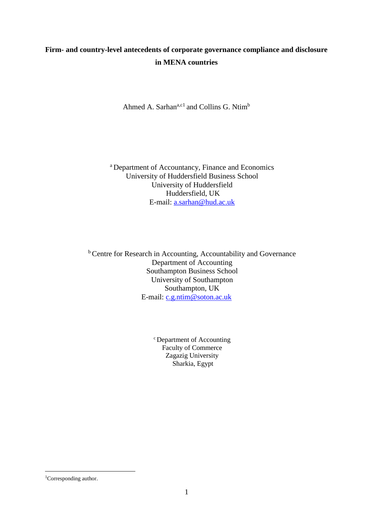## **Firm- and country-level antecedents of corporate governance compliance and disclosure in MENA countries**

Ahmed A. Sarhan<sup>a,c1</sup> and Collins G. Ntim<sup>b</sup>

<sup>a</sup> Department of Accountancy, Finance and Economics University of Huddersfield Business School University of Huddersfield Huddersfield, UK E-mail: [a.sarhan@hud.ac.uk](mailto:ahmed.sarhan2@hud.ac.uk)

**b** Centre for Research in Accounting, Accountability and Governance Department of Accounting Southampton Business School University of Southampton Southampton, UK E-mail: [c.g.ntim@soton.ac.uk](mailto:c.g.ntim@soton.ac.uk)

> <sup>c</sup> Department of Accounting Faculty of Commerce Zagazig University Sharkia, Egypt

**.** 

<sup>&</sup>lt;sup>1</sup>Corresponding author.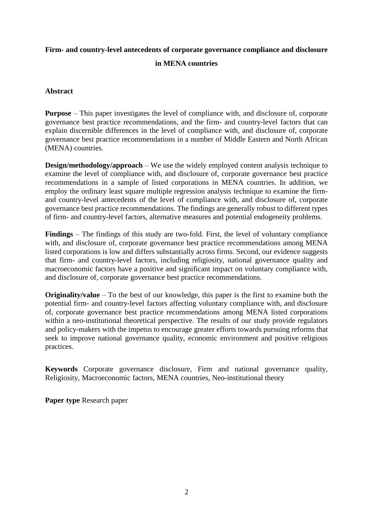# **Firm- and country-level antecedents of corporate governance compliance and disclosure**

## **in MENA countries**

## **Abstract**

**Purpose** – This paper investigates the level of compliance with, and disclosure of, corporate governance best practice recommendations, and the firm- and country-level factors that can explain discernible differences in the level of compliance with, and disclosure of, corporate governance best practice recommendations in a number of Middle Eastern and North African (MENA) countries.

**Design/methodology/approach** – We use the widely employed content analysis technique to examine the level of compliance with, and disclosure of, corporate governance best practice recommendations in a sample of listed corporations in MENA countries. In addition, we employ the ordinary least square multiple regression analysis technique to examine the firmand country-level antecedents of the level of compliance with, and disclosure of, corporate governance best practice recommendations. The findings are generally robust to different types of firm- and country-level factors, alternative measures and potential endogeneity problems.

**Findings** – The findings of this study are two-fold. First, the level of voluntary compliance with, and disclosure of, corporate governance best practice recommendations among MENA listed corporations is low and differs substantially across firms. Second, our evidence suggests that firm- and country-level factors, including religiosity, national governance quality and macroeconomic factors have a positive and significant impact on voluntary compliance with, and disclosure of, corporate governance best practice recommendations.

**Originality/value** – To the best of our knowledge, this paper is the first to examine both the potential firm- and country-level factors affecting voluntary compliance with, and disclosure of, corporate governance best practice recommendations among MENA listed corporations within a neo-institutional theoretical perspective. The results of our study provide regulators and policy-makers with the impetus to encourage greater efforts towards pursuing reforms that seek to improve national governance quality, economic environment and positive religious practices.

**Keywords** Corporate governance disclosure, Firm and national governance quality, Religiosity, Macroeconomic factors, MENA countries, Neo-institutional theory

**Paper type** Research paper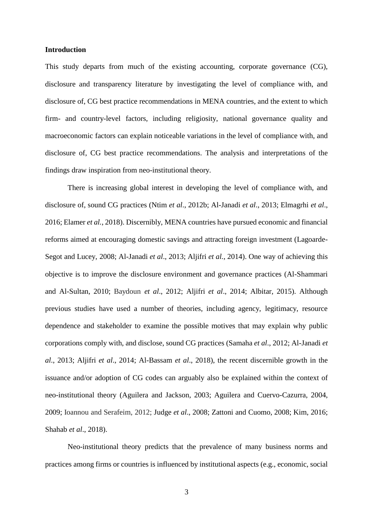#### **Introduction**

This study departs from much of the existing accounting, corporate governance (CG), disclosure and transparency literature by investigating the level of compliance with, and disclosure of, CG best practice recommendations in MENA countries, and the extent to which firm- and country-level factors, including religiosity, national governance quality and macroeconomic factors can explain noticeable variations in the level of compliance with, and disclosure of, CG best practice recommendations. The analysis and interpretations of the findings draw inspiration from neo-institutional theory.

There is increasing global interest in developing the level of compliance with, and disclosure of, sound CG practices (Ntim *et al*., 2012b; Al-Janadi *et al*., 2013; Elmagrhi *et al*., 2016; Elamer *et al.*, 2018). Discernibly, MENA countries have pursued economic and financial reforms aimed at encouraging domestic savings and attracting foreign investment (Lagoarde-Segot and Lucey, 2008; Al-Janadi *et al*., 2013; Aljifri *et al.*, 2014). One way of achieving this objective is to improve the disclosure environment and governance practices (Al-Shammari and Al-Sultan, 2010; Baydoun *et al*., 2012; Aljifri *et al*., 2014; Albitar, 2015). Although previous studies have used a number of theories, including agency, legitimacy, resource dependence and stakeholder to examine the possible motives that may explain why public corporations comply with, and disclose, sound CG practices (Samaha *et al*., 2012; Al-Janadi *et al*., 2013; Aljifri *et al*., 2014; Al-Bassam *et al*., 2018), the recent discernible growth in the issuance and/or adoption of CG codes can arguably also be explained within the context of neo-institutional theory (Aguilera and Jackson, 2003; Aguilera and Cuervo-Cazurra, 2004, 2009; Ioannou and Serafeim, 2012; Judge *et al*., 2008; Zattoni and Cuomo, 2008; Kim, 2016; Shahab *et al*., 2018).

Neo-institutional theory predicts that the prevalence of many business norms and practices among firms or countries is influenced by institutional aspects (e.g., economic, social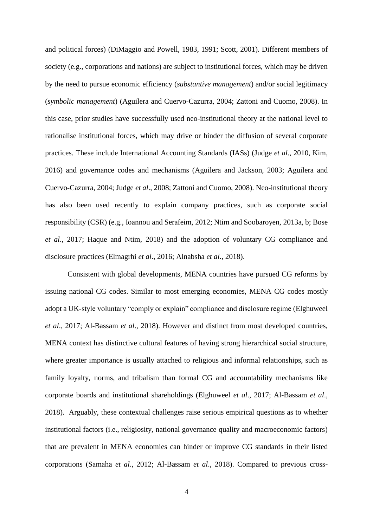and political forces) (DiMaggio and Powell, 1983, 1991; Scott, 2001). Different members of society (e.g., corporations and nations) are subject to institutional forces, which may be driven by the need to pursue economic efficiency (*substantive management*) and/or social legitimacy (*symbolic management*) (Aguilera and Cuervo-Cazurra, 2004; Zattoni and Cuomo, 2008). In this case, prior studies have successfully used neo-institutional theory at the national level to rationalise institutional forces, which may drive or hinder the diffusion of several corporate practices. These include International Accounting Standards (IASs) (Judge *et al*., 2010, Kim, 2016) and governance codes and mechanisms (Aguilera and Jackson, 2003; Aguilera and Cuervo-Cazurra, 2004; Judge *et al*., 2008; Zattoni and Cuomo, 2008). Neo-institutional theory has also been used recently to explain company practices, such as corporate social responsibility (CSR) (e.g., Ioannou and Serafeim, 2012; Ntim and Soobaroyen, 2013a, b; Bose *et al*., 2017; Haque and Ntim, 2018) and the adoption of voluntary CG compliance and disclosure practices (Elmagrhi *et al*., 2016; Alnabsha *et al.*, 2018).

Consistent with global developments, MENA countries have pursued CG reforms by issuing national CG codes. Similar to most emerging economies, MENA CG codes mostly adopt a UK-style voluntary "comply or explain" compliance and disclosure regime (Elghuweel *et al*., 2017; Al-Bassam *et al*., 2018). However and distinct from most developed countries, MENA context has distinctive cultural features of having strong hierarchical social structure, where greater importance is usually attached to religious and informal relationships, such as family loyalty, norms, and tribalism than formal CG and accountability mechanisms like corporate boards and institutional shareholdings (Elghuweel *et al*., 2017; Al-Bassam *et al*., 2018). Arguably, these contextual challenges raise serious empirical questions as to whether institutional factors (i.e., religiosity, national governance quality and macroeconomic factors) that are prevalent in MENA economies can hinder or improve CG standards in their listed corporations (Samaha *et al*., 2012; Al-Bassam *et al*., 2018). Compared to previous cross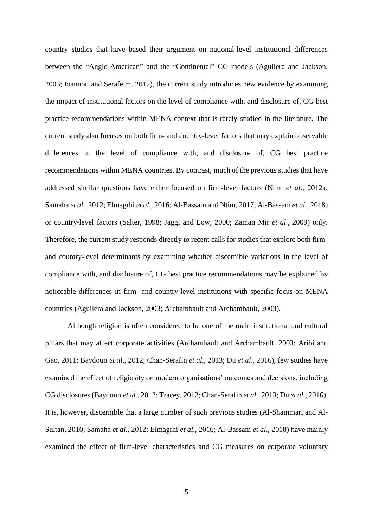country studies that have based their argument on national-level institutional differences between the "Anglo-American" and the "Continental" CG models (Aguilera and Jackson, 2003; Ioannou and Serafeim, 2012), the current study introduces new evidence by examining the impact of institutional factors on the level of compliance with, and disclosure of, CG best practice recommendations within MENA context that is rarely studied in the literature. The current study also focuses on both firm- and country-level factors that may explain observable differences in the level of compliance with, and disclosure of, CG best practice recommendations within MENA countries. By contrast, much of the previous studies that have addressed similar questions have either focused on firm-level factors (Ntim *et al*., 2012a; Samaha *et al*., 2012; Elmagrhi *et al.*, 2016; Al-Bassam and Ntim, 2017; Al-Bassam *et al*., 2018) or country-level factors (Salter, 1998; Jaggi and Low, 2000; Zaman Mir *et al*., 2009) only. Therefore, the current study responds directly to recent calls for studies that explore both firmand country-level determinants by examining whether discernible variations in the level of compliance with, and disclosure of, CG best practice recommendations may be explained by noticeable differences in firm- and country-level institutions with specific focus on MENA countries (Aguilera and Jackson, 2003; Archambault and Archambault, 2003).

Although religion is often considered to be one of the main institutional and cultural pillars that may affect corporate activities (Archambault and Archambault, 2003; Aribi and Gao, 2011; Baydoun *et al*., 2012; Chan-Serafin *et al*., 2013; Du *et al*., 2016), few studies have examined the effect of religiosity on modern organisations' outcomes and decisions, including CG disclosures (Baydoun *et al*., 2012; Tracey, 2012; Chan-Serafin *et al*., 2013; Du *et al*., 2016). It is, however, discernible that a large number of such previous studies (Al-Shammari and Al-Sultan, 2010; Samaha *et al*., 2012; Elmagrhi *et al.*, 2016; Al-Bassam *et al*., 2018) have mainly examined the effect of firm-level characteristics and CG measures on corporate voluntary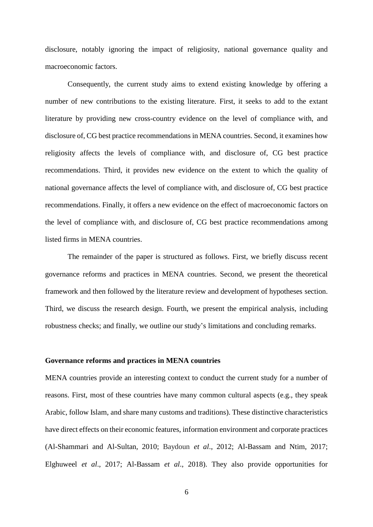disclosure, notably ignoring the impact of religiosity, national governance quality and macroeconomic factors.

Consequently, the current study aims to extend existing knowledge by offering a number of new contributions to the existing literature. First, it seeks to add to the extant literature by providing new cross-country evidence on the level of compliance with, and disclosure of, CG best practice recommendations in MENA countries. Second, it examines how religiosity affects the levels of compliance with, and disclosure of, CG best practice recommendations. Third, it provides new evidence on the extent to which the quality of national governance affects the level of compliance with, and disclosure of, CG best practice recommendations. Finally, it offers a new evidence on the effect of macroeconomic factors on the level of compliance with, and disclosure of, CG best practice recommendations among listed firms in MENA countries.

The remainder of the paper is structured as follows. First, we briefly discuss recent governance reforms and practices in MENA countries. Second, we present the theoretical framework and then followed by the literature review and development of hypotheses section. Third, we discuss the research design. Fourth, we present the empirical analysis, including robustness checks; and finally, we outline our study's limitations and concluding remarks.

## **Governance reforms and practices in MENA countries**

MENA countries provide an interesting context to conduct the current study for a number of reasons. First, most of these countries have many common cultural aspects (e.g., they speak Arabic, follow Islam, and share many customs and traditions). These distinctive characteristics have direct effects on their economic features, information environment and corporate practices (Al-Shammari and Al-Sultan, 2010; Baydoun *et al*., 2012; Al-Bassam and Ntim, 2017; Elghuweel *et al*., 2017; Al-Bassam *et al*., 2018). They also provide opportunities for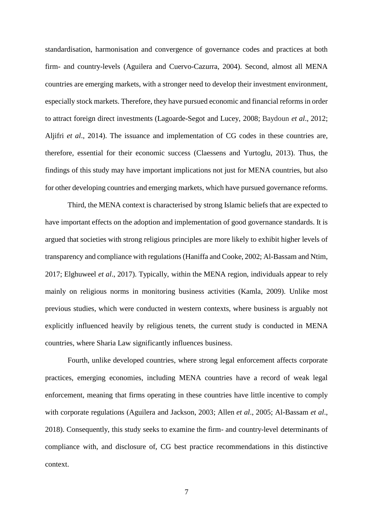standardisation, harmonisation and convergence of governance codes and practices at both firm- and country-levels (Aguilera and Cuervo-Cazurra, 2004). Second, almost all MENA countries are emerging markets, with a stronger need to develop their investment environment, especially stock markets. Therefore, they have pursued economic and financial reforms in order to attract foreign direct investments (Lagoarde-Segot and Lucey, 2008; Baydoun *et al*., 2012; Aljifri *et al*., 2014). The issuance and implementation of CG codes in these countries are, therefore, essential for their economic success (Claessens and Yurtoglu, 2013). Thus, the findings of this study may have important implications not just for MENA countries, but also for other developing countries and emerging markets, which have pursued governance reforms.

Third, the MENA context is characterised by strong Islamic beliefs that are expected to have important effects on the adoption and implementation of good governance standards. It is argued that societies with strong religious principles are more likely to exhibit higher levels of transparency and compliance with regulations (Haniffa and Cooke, 2002; Al-Bassam and Ntim, 2017; Elghuweel *et al*., 2017). Typically, within the MENA region, individuals appear to rely mainly on religious norms in monitoring business activities (Kamla, 2009). Unlike most previous studies, which were conducted in western contexts, where business is arguably not explicitly influenced heavily by religious tenets, the current study is conducted in MENA countries, where Sharia Law significantly influences business.

Fourth, unlike developed countries, where strong legal enforcement affects corporate practices, emerging economies, including MENA countries have a record of weak legal enforcement, meaning that firms operating in these countries have little incentive to comply with corporate regulations (Aguilera and Jackson, 2003; Allen *et al*., 2005; Al-Bassam *et al*., 2018). Consequently, this study seeks to examine the firm- and country-level determinants of compliance with, and disclosure of, CG best practice recommendations in this distinctive context.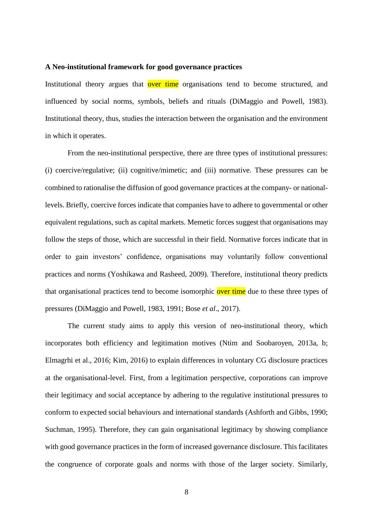#### **A Neo-institutional framework for good governance practices**

Institutional theory argues that over time organisations tend to become structured, and influenced by social norms, symbols, beliefs and rituals (DiMaggio and Powell, 1983). Institutional theory, thus, studies the interaction between the organisation and the environment in which it operates.

From the neo-institutional perspective, there are three types of institutional pressures: (i) coercive/regulative; (ii) cognitive/mimetic; and (iii) normative. These pressures can be combined to rationalise the diffusion of good governance practices at the company- or nationallevels. Briefly, coercive forces indicate that companies have to adhere to governmental or other equivalent regulations, such as capital markets. Memetic forces suggest that organisations may follow the steps of those, which are successful in their field. Normative forces indicate that in order to gain investors' confidence, organisations may voluntarily follow conventional practices and norms (Yoshikawa and Rasheed, 2009). Therefore, institutional theory predicts that organisational practices tend to become isomorphic over time due to these three types of pressures (DiMaggio and Powell, 1983, 1991; Bose *et al*., 2017).

The current study aims to apply this version of neo-institutional theory, which incorporates both efficiency and legitimation motives (Ntim and Soobaroyen, 2013a, b; Elmagrhi et al., 2016; Kim, 2016) to explain differences in voluntary CG disclosure practices at the organisational-level. First, from a legitimation perspective, corporations can improve their legitimacy and social acceptance by adhering to the regulative institutional pressures to conform to expected social behaviours and international standards (Ashforth and Gibbs, 1990; Suchman, 1995). Therefore, they can gain organisational legitimacy by showing compliance with good governance practices in the form of increased governance disclosure. This facilitates the congruence of corporate goals and norms with those of the larger society. Similarly,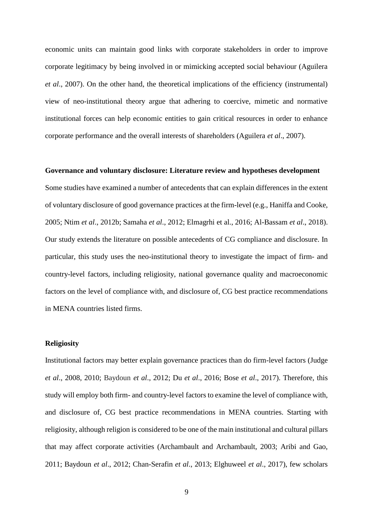economic units can maintain good links with corporate stakeholders in order to improve corporate legitimacy by being involved in or mimicking accepted social behaviour (Aguilera *et al*., 2007). On the other hand, the theoretical implications of the efficiency (instrumental) view of neo-institutional theory argue that adhering to coercive, mimetic and normative institutional forces can help economic entities to gain critical resources in order to enhance corporate performance and the overall interests of shareholders (Aguilera *et al*., 2007).

#### **Governance and voluntary disclosure: Literature review and hypotheses development**

Some studies have examined a number of antecedents that can explain differences in the extent of voluntary disclosure of good governance practices at the firm-level (e.g., Haniffa and Cooke, 2005; Ntim *et al*., 2012b; Samaha *et al*., 2012; Elmagrhi et al., 2016; Al-Bassam *et al*., 2018). Our study extends the literature on possible antecedents of CG compliance and disclosure. In particular, this study uses the neo-institutional theory to investigate the impact of firm- and country-level factors, including religiosity, national governance quality and macroeconomic factors on the level of compliance with, and disclosure of, CG best practice recommendations in MENA countries listed firms.

## **Religiosity**

Institutional factors may better explain governance practices than do firm-level factors (Judge *et al*., 2008, 2010; Baydoun *et al*., 2012; Du *et al*., 2016; Bose *et al*., 2017). Therefore, this study will employ both firm- and country-level factors to examine the level of compliance with, and disclosure of, CG best practice recommendations in MENA countries. Starting with religiosity, although religion is considered to be one of the main institutional and cultural pillars that may affect corporate activities (Archambault and Archambault, 2003; Aribi and Gao, 2011; Baydoun *et al*., 2012; Chan-Serafin *et al*., 2013; Elghuweel *et al*., 2017), few scholars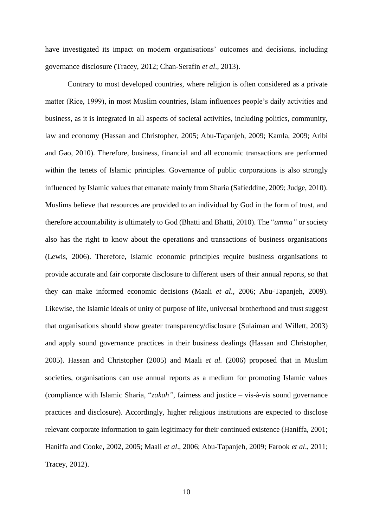have investigated its impact on modern organisations' outcomes and decisions, including governance disclosure (Tracey, 2012; Chan-Serafin *et al*., 2013).

Contrary to most developed countries, where religion is often considered as a private matter (Rice, 1999), in most Muslim countries, Islam influences people's daily activities and business, as it is integrated in all aspects of societal activities, including politics, community, law and economy (Hassan and Christopher, 2005; Abu-Tapanjeh, 2009; Kamla, 2009; Aribi and Gao, 2010). Therefore, business, financial and all economic transactions are performed within the tenets of Islamic principles. Governance of public corporations is also strongly influenced by Islamic values that emanate mainly from Sharia (Safieddine, 2009; Judge, 2010). Muslims believe that resources are provided to an individual by God in the form of trust, and therefore accountability is ultimately to God (Bhatti and Bhatti, 2010). The "*umma"* or society also has the right to know about the operations and transactions of business organisations (Lewis, 2006). Therefore, Islamic economic principles require business organisations to provide accurate and fair corporate disclosure to different users of their annual reports, so that they can make informed economic decisions (Maali *et al*., 2006; Abu-Tapanjeh, 2009). Likewise, the Islamic ideals of unity of purpose of life, universal brotherhood and trust suggest that organisations should show greater transparency/disclosure (Sulaiman and Willett, 2003) and apply sound governance practices in their business dealings (Hassan and Christopher, 2005). Hassan and Christopher (2005) and Maali *et al.* (2006) proposed that in Muslim societies, organisations can use annual reports as a medium for promoting Islamic values (compliance with Islamic Sharia, "*zakah"*, fairness and justice – vis-à-vis sound governance practices and disclosure). Accordingly, higher religious institutions are expected to disclose relevant corporate information to gain legitimacy for their continued existence (Haniffa, 2001; Haniffa and Cooke, 2002, 2005; Maali *et al*., 2006; Abu-Tapanjeh, 2009; Farook *et al*., 2011; Tracey, 2012).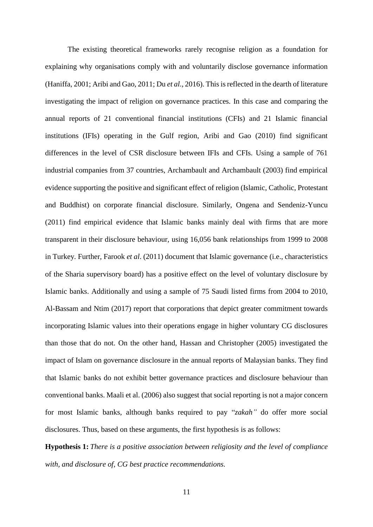The existing theoretical frameworks rarely recognise religion as a foundation for explaining why organisations comply with and voluntarily disclose governance information (Haniffa, 2001; Aribi and Gao, 2011; Du *et al*., 2016). This is reflected in the dearth of literature investigating the impact of religion on governance practices. In this case and comparing the annual reports of 21 conventional financial institutions (CFIs) and 21 Islamic financial institutions (IFIs) operating in the Gulf region, Aribi and Gao (2010) find significant differences in the level of CSR disclosure between IFIs and CFIs. Using a sample of 761 industrial companies from 37 countries, Archambault and Archambault (2003) find empirical evidence supporting the positive and significant effect of religion (Islamic, Catholic, Protestant and Buddhist) on corporate financial disclosure. Similarly, Ongena and Sendeniz-Yuncu (2011) find empirical evidence that Islamic banks mainly deal with firms that are more transparent in their disclosure behaviour, using 16,056 bank relationships from 1999 to 2008 in Turkey. Further, Farook *et al*. (2011) document that Islamic governance (i.e., characteristics of the Sharia supervisory board) has a positive effect on the level of voluntary disclosure by Islamic banks. Additionally and using a sample of 75 Saudi listed firms from 2004 to 2010, Al-Bassam and Ntim (2017) report that corporations that depict greater commitment towards incorporating Islamic values into their operations engage in higher voluntary CG disclosures than those that do not. On the other hand, Hassan and Christopher (2005) investigated the impact of Islam on governance disclosure in the annual reports of Malaysian banks. They find that Islamic banks do not exhibit better governance practices and disclosure behaviour than conventional banks. Maali et al. (2006) also suggest that social reporting is not a major concern for most Islamic banks, although banks required to pay "*zakah"* do offer more social disclosures. Thus, based on these arguments, the first hypothesis is as follows:

**Hypothesis 1:** *There is a positive association between religiosity and the level of compliance with, and disclosure of, CG best practice recommendations.*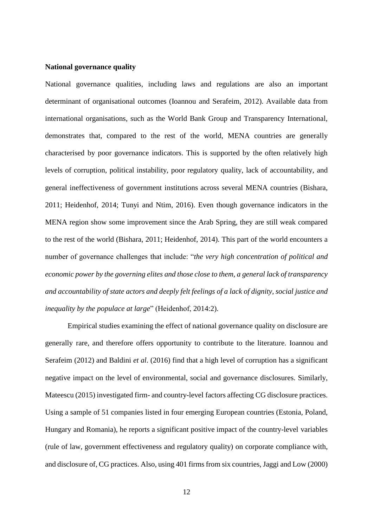#### **National governance quality**

National governance qualities, including laws and regulations are also an important determinant of organisational outcomes (Ioannou and Serafeim, 2012). Available data from international organisations, such as the World Bank Group and Transparency International, demonstrates that, compared to the rest of the world, MENA countries are generally characterised by poor governance indicators. This is supported by the often relatively high levels of corruption, political instability, poor regulatory quality, lack of accountability, and general ineffectiveness of government institutions across several MENA countries (Bishara, 2011; Heidenhof, 2014; Tunyi and Ntim, 2016). Even though governance indicators in the MENA region show some improvement since the Arab Spring, they are still weak compared to the rest of the world (Bishara, 2011; Heidenhof, 2014). This part of the world encounters a number of governance challenges that include: "*the very high concentration of political and economic power by the governing elites and those close to them, a general lack of transparency and accountability of state actors and deeply felt feelings of a lack of dignity, social justice and inequality by the populace at large*" (Heidenhof, 2014:2).

Empirical studies examining the effect of national governance quality on disclosure are generally rare, and therefore offers opportunity to contribute to the literature. Ioannou and Serafeim (2012) and Baldini *et al*. (2016) find that a high level of corruption has a significant negative impact on the level of environmental, social and governance disclosures. Similarly, Mateescu (2015) investigated firm- and country-level factors affecting CG disclosure practices. Using a sample of 51 companies listed in four emerging European countries (Estonia, Poland, Hungary and Romania), he reports a significant positive impact of the country-level variables (rule of law, government effectiveness and regulatory quality) on corporate compliance with, and disclosure of, CG practices. Also, using 401 firms from six countries, Jaggi and Low (2000)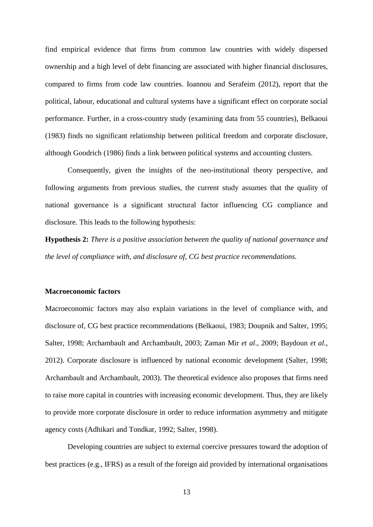find empirical evidence that firms from common law countries with widely dispersed ownership and a high level of debt financing are associated with higher financial disclosures, compared to firms from code law countries. Ioannou and Serafeim (2012), report that the political, labour, educational and cultural systems have a significant effect on corporate social performance. Further, in a cross-country study (examining data from 55 countries), Belkaoui (1983) finds no significant relationship between political freedom and corporate disclosure, although Goodrich (1986) finds a link between political systems and accounting clusters.

Consequently, given the insights of the neo-institutional theory perspective, and following arguments from previous studies, the current study assumes that the quality of national governance is a significant structural factor influencing CG compliance and disclosure. This leads to the following hypothesis:

**Hypothesis 2:** *There is a positive association between the quality of national governance and the level of compliance with, and disclosure of, CG best practice recommendations.*

#### **Macroeconomic factors**

Macroeconomic factors may also explain variations in the level of compliance with, and disclosure of, CG best practice recommendations (Belkaoui, 1983; Doupnik and Salter, 1995; Salter, 1998; Archambault and Archambault, 2003; Zaman Mir *et al*., 2009; Baydoun *et al*., 2012). Corporate disclosure is influenced by national economic development (Salter, 1998; Archambault and Archambault, 2003). The theoretical evidence also proposes that firms need to raise more capital in countries with increasing economic development. Thus, they are likely to provide more corporate disclosure in order to reduce information asymmetry and mitigate agency costs (Adhikari and Tondkar, 1992; Salter, 1998).

Developing countries are subject to external coercive pressures toward the adoption of best practices (e.g., IFRS) as a result of the foreign aid provided by international organisations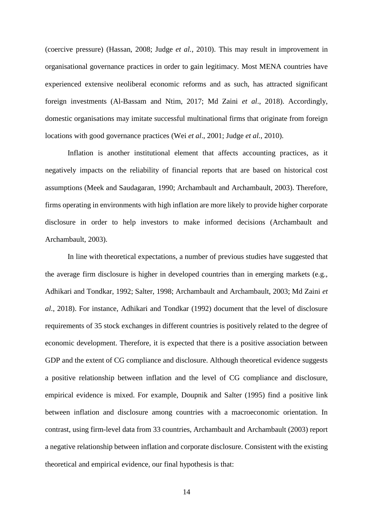(coercive pressure) (Hassan, 2008; Judge *et al.*, 2010). This may result in improvement in organisational governance practices in order to gain legitimacy. Most MENA countries have experienced extensive neoliberal economic reforms and as such, has attracted significant foreign investments (Al-Bassam and Ntim, 2017; Md Zaini *et al*., 2018). Accordingly, domestic organisations may imitate successful multinational firms that originate from foreign locations with good governance practices (Wei *et al*., 2001; Judge *et al.*, 2010).

Inflation is another institutional element that affects accounting practices, as it negatively impacts on the reliability of financial reports that are based on historical cost assumptions (Meek and Saudagaran, 1990; Archambault and Archambault, 2003). Therefore, firms operating in environments with high inflation are more likely to provide higher corporate disclosure in order to help investors to make informed decisions (Archambault and Archambault, 2003).

In line with theoretical expectations, a number of previous studies have suggested that the average firm disclosure is higher in developed countries than in emerging markets (e.g., Adhikari and Tondkar, 1992; Salter, 1998; Archambault and Archambault, 2003; Md Zaini *et al*., 2018). For instance, Adhikari and Tondkar (1992) document that the level of disclosure requirements of 35 stock exchanges in different countries is positively related to the degree of economic development. Therefore, it is expected that there is a positive association between GDP and the extent of CG compliance and disclosure. Although theoretical evidence suggests a positive relationship between inflation and the level of CG compliance and disclosure, empirical evidence is mixed. For example, Doupnik and Salter (1995) find a positive link between inflation and disclosure among countries with a macroeconomic orientation. In contrast, using firm-level data from 33 countries, Archambault and Archambault (2003) report a negative relationship between inflation and corporate disclosure. Consistent with the existing theoretical and empirical evidence, our final hypothesis is that: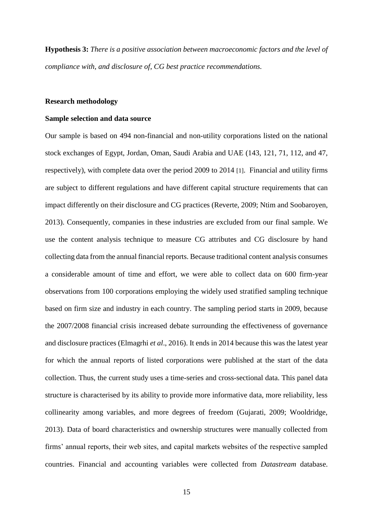**Hypothesis 3:** *There is a positive association between macroeconomic factors and the level of compliance with, and disclosure of, CG best practice recommendations.*

#### **Research methodology**

## **Sample selection and data source**

Our sample is based on 494 non-financial and non-utility corporations listed on the national stock exchanges of Egypt, Jordan, Oman, Saudi Arabia and UAE (143, 121, 71, 112, and 47, respectively), with complete data over the period 2009 to 2014 [1]. Financial and utility firms are subject to different regulations and have different capital structure requirements that can impact differently on their disclosure and CG practices (Reverte, 2009; Ntim and Soobaroyen, 2013). Consequently, companies in these industries are excluded from our final sample. We use the content analysis technique to measure CG attributes and CG disclosure by hand collecting data from the annual financial reports. Because traditional content analysis consumes a considerable amount of time and effort, we were able to collect data on 600 firm-year observations from 100 corporations employing the widely used stratified sampling technique based on firm size and industry in each country. The sampling period starts in 2009, because the 2007/2008 financial crisis increased debate surrounding the effectiveness of governance and disclosure practices (Elmagrhi *et al*., 2016). It ends in 2014 because this was the latest year for which the annual reports of listed corporations were published at the start of the data collection. Thus, the current study uses a time-series and cross-sectional data. This panel data structure is characterised by its ability to provide more informative data, more reliability, less collinearity among variables, and more degrees of freedom (Gujarati, 2009; Wooldridge, 2013). Data of board characteristics and ownership structures were manually collected from firms' annual reports, their web sites, and capital markets websites of the respective sampled countries. Financial and accounting variables were collected from *Datastream* database.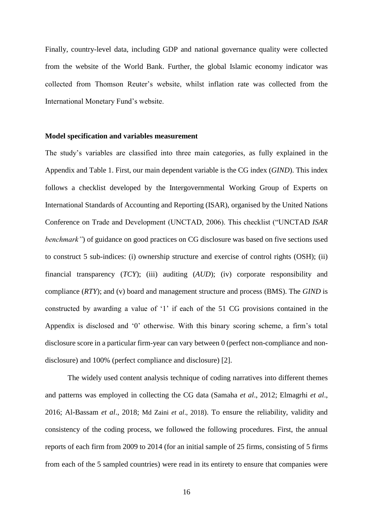Finally, country-level data, including GDP and national governance quality were collected from the website of the World Bank. Further, the global Islamic economy indicator was collected from Thomson Reuter's website, whilst inflation rate was collected from the International Monetary Fund's website.

#### **Model specification and variables measurement**

The study's variables are classified into three main categories, as fully explained in the Appendix and Table 1. First, our main dependent variable is the CG index (*GIND*). This index follows a checklist developed by the Intergovernmental Working Group of Experts on International Standards of Accounting and Reporting (ISAR), organised by the United Nations Conference on Trade and Development (UNCTAD, 2006). This checklist ("UNCTAD *ISAR benchmark*") of guidance on good practices on CG disclosure was based on five sections used to construct 5 sub-indices: (i) ownership structure and exercise of control rights (OSH); (ii) financial transparency (*TCY*); (iii) auditing (*AUD*); (iv) corporate responsibility and compliance (*RTY*); and (v) board and management structure and process (BMS). The *GIND* is constructed by awarding a value of '1' if each of the 51 CG provisions contained in the Appendix is disclosed and '0' otherwise. With this binary scoring scheme, a firm's total disclosure score in a particular firm-year can vary between 0 (perfect non-compliance and nondisclosure) and 100% (perfect compliance and disclosure) [2].

The widely used content analysis technique of coding narratives into different themes and patterns was employed in collecting the CG data (Samaha *et al*., 2012; Elmagrhi *et al*., 2016; Al-Bassam *et al*., 2018; Md Zaini *et al*., 2018). To ensure the reliability, validity and consistency of the coding process, we followed the following procedures. First, the annual reports of each firm from 2009 to 2014 (for an initial sample of 25 firms, consisting of 5 firms from each of the 5 sampled countries) were read in its entirety to ensure that companies were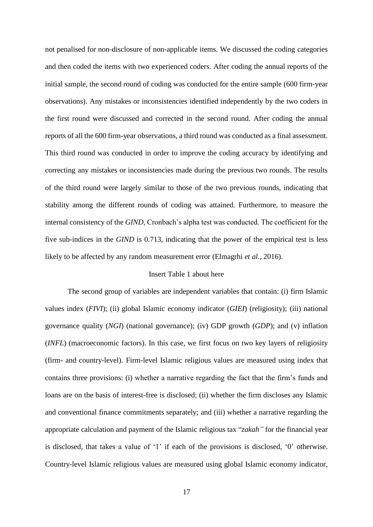not penalised for non-disclosure of non-applicable items. We discussed the coding categories and then coded the items with two experienced coders. After coding the annual reports of the initial sample, the second round of coding was conducted for the entire sample (600 firm-year observations). Any mistakes or inconsistencies identified independently by the two coders in the first round were discussed and corrected in the second round. After coding the annual reports of all the 600 firm-year observations, a third round was conducted as a final assessment. This third round was conducted in order to improve the coding accuracy by identifying and correcting any mistakes or inconsistencies made during the previous two rounds. The results of the third round were largely similar to those of the two previous rounds, indicating that stability among the different rounds of coding was attained. Furthermore, to measure the internal consistency of the *GIND*, Cronbach's alpha test was conducted. The coefficient for the five sub-indices in the *GIND* is 0.713, indicating that the power of the empirical test is less likely to be affected by any random measurement error (Elmagrhi *et al*., 2016).

## Insert Table 1 about here

The second group of variables are independent variables that contain: (i) firm Islamic values index (*FIVI*); (ii) global Islamic economy indicator (*GIEI*) (religiosity); (iii) national governance quality (*NGI*) (national governance); (iv) GDP growth (*GDP*); and (v) inflation (*INFL*) (macroeconomic factors). In this case, we first focus on two key layers of religiosity (firm- and country-level). Firm-level Islamic religious values are measured using index that contains three provisions: (i) whether a narrative regarding the fact that the firm's funds and loans are on the basis of interest-free is disclosed; (ii) whether the firm discloses any Islamic and conventional finance commitments separately; and (iii) whether a narrative regarding the appropriate calculation and payment of the Islamic religious tax "*zakah"* for the financial year is disclosed, that takes a value of '1' if each of the provisions is disclosed, '0' otherwise. Country-level Islamic religious values are measured using global Islamic economy indicator,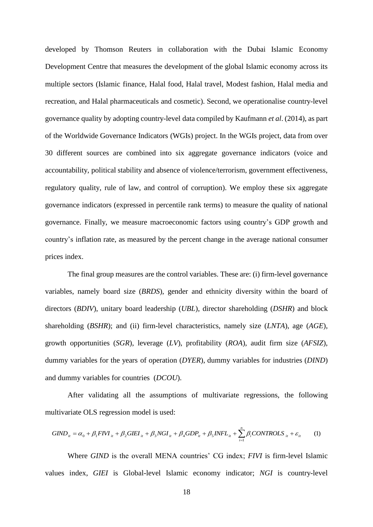developed by Thomson Reuters in collaboration with the Dubai Islamic Economy Development Centre that measures the development of the global Islamic economy across its multiple sectors (Islamic finance, Halal food, Halal travel, Modest fashion, Halal media and recreation, and Halal pharmaceuticals and cosmetic). Second, we operationalise country-level governance quality by adopting country-level data compiled by Kaufmann *et al*. (2014), as part of the Worldwide Governance Indicators (WGIs) project. In the WGIs project, data from over 30 different sources are combined into six aggregate governance indicators (voice and accountability, political stability and absence of violence/terrorism, government effectiveness, regulatory quality, rule of law, and control of corruption). We employ these six aggregate governance indicators (expressed in percentile rank terms) to measure the quality of national governance. Finally, we measure macroeconomic factors using country's GDP growth and country's inflation rate, as measured by the percent change in the average national consumer prices index.

The final group measures are the control variables. These are: (i) firm-level governance variables, namely board size (*BRDS*), gender and ethnicity diversity within the board of directors (*BDIV*), unitary board leadership (*UBL*), director shareholding (*DSHR*) and block shareholding (*BSHR*); and (ii) firm-level characteristics, namely size (*LNTA*), age (*AGE*), growth opportunities (*SGR*), leverage (*LV*), profitability (*ROA*), audit firm size (*AFSIZ*), dummy variables for the years of operation (*DYER*), dummy variables for industries (*DIND*) and dummy variables for countries (*DCOU*).

After validating all the assumptions of multivariate regressions, the following multivariate OLS regression model is used:

$$
GIND_{ii} = \alpha_0 + \beta_1 FIVI_{ii} + \beta_2 GIEI_{ii} + \beta_3 NGI_{ii} + \beta_4 GDP_{ii} + \beta_5 INFL_{ii} + \sum_{i=1}^{n} \beta_i CONTROLS_{ii} + \varepsilon_{ii}
$$
 (1)

Where *GIND* is the overall MENA countries' CG index; *FIVI* is firm-level Islamic values index, *GIEI* is Global-level Islamic economy indicator; *NGI* is country-level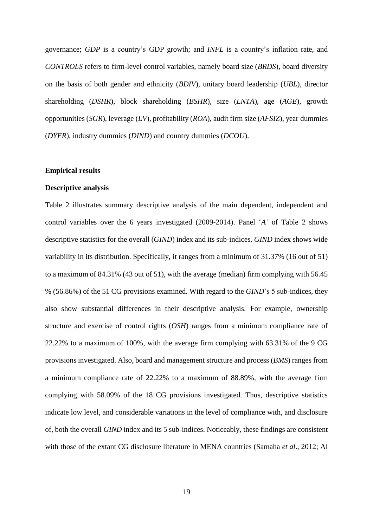governance; *GDP* is a country's GDP growth; and *INFL* is a country's inflation rate, and *CONTROLS* refers to firm-level control variables, namely board size (*BRDS*), board diversity on the basis of both gender and ethnicity (*BDIV*), unitary board leadership (*UBL*), director shareholding (*DSHR*), block shareholding (*BSHR*), size (*LNTA*), age (*AGE*), growth opportunities (*SGR*), leverage (*LV*), profitability (*ROA*), audit firm size (*AFSIZ*), year dummies (*DYER*), industry dummies (*DIND*) and country dummies (*DCOU*).

#### **Empirical results**

## **Descriptive analysis**

Table 2 illustrates summary descriptive analysis of the main dependent, independent and control variables over the 6 years investigated (2009-2014). Panel '*A'* of Table 2 shows descriptive statistics for the overall (*GIND*) index and its sub-indices. *GIND* index shows wide variability in its distribution. Specifically, it ranges from a minimum of 31.37% (16 out of 51) to a maximum of 84.31% (43 out of 51), with the average (median) firm complying with 56.45 % (56.86%) of the 51 CG provisions examined. With regard to the *GIND*'s 5 sub-indices, they also show substantial differences in their descriptive analysis. For example, ownership structure and exercise of control rights (*OSH*) ranges from a minimum compliance rate of 22.22% to a maximum of 100%, with the average firm complying with 63.31% of the 9 CG provisions investigated. Also, board and management structure and process (*BMS*) ranges from a minimum compliance rate of 22.22% to a maximum of 88.89%, with the average firm complying with 58.09% of the 18 CG provisions investigated. Thus, descriptive statistics indicate low level, and considerable variations in the level of compliance with, and disclosure of, both the overall *GIND* index and its 5 sub-indices. Noticeably, these findings are consistent with those of the extant CG disclosure literature in MENA countries (Samaha *et al*., 2012; Al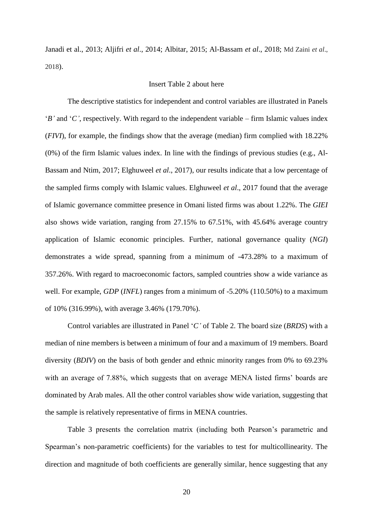Janadi et al., 2013; Aljifri *et al*., 2014; Albitar, 2015; Al-Bassam *et al*., 2018; Md Zaini *et al*., 2018).

#### Insert Table 2 about here

The descriptive statistics for independent and control variables are illustrated in Panels '*B'* and '*C'*, respectively. With regard to the independent variable – firm Islamic values index (*FIVI*), for example, the findings show that the average (median) firm complied with 18.22% (0%) of the firm Islamic values index. In line with the findings of previous studies (e.g., Al-Bassam and Ntim, 2017; Elghuweel *et al*., 2017), our results indicate that a low percentage of the sampled firms comply with Islamic values. Elghuweel *et al*., 2017 found that the average of Islamic governance committee presence in Omani listed firms was about 1.22%. The *GIEI* also shows wide variation, ranging from 27.15% to 67.51%, with 45.64% average country application of Islamic economic principles. Further, national governance quality (*NGI*) demonstrates a wide spread, spanning from a minimum of -473.28% to a maximum of 357.26%. With regard to macroeconomic factors, sampled countries show a wide variance as well. For example, *GDP* (*INFL*) ranges from a minimum of -5.20% (110.50%) to a maximum of 10% (316.99%), with average 3.46% (179.70%).

Control variables are illustrated in Panel '*C'* of Table 2. The board size (*BRDS*) with a median of nine members is between a minimum of four and a maximum of 19 members. Board diversity (*BDIV*) on the basis of both gender and ethnic minority ranges from 0% to 69.23% with an average of 7.88%, which suggests that on average MENA listed firms' boards are dominated by Arab males. All the other control variables show wide variation, suggesting that the sample is relatively representative of firms in MENA countries.

Table 3 presents the correlation matrix (including both Pearson's parametric and Spearman's non-parametric coefficients) for the variables to test for multicollinearity. The direction and magnitude of both coefficients are generally similar, hence suggesting that any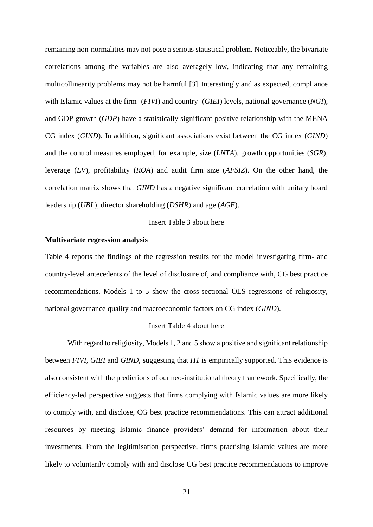remaining non-normalities may not pose a serious statistical problem. Noticeably, the bivariate correlations among the variables are also averagely low, indicating that any remaining multicollinearity problems may not be harmful [3]. Interestingly and as expected, compliance with Islamic values at the firm- (*FIVI*) and country- (*GIEI*) levels, national governance (*NGI*), and GDP growth (*GDP*) have a statistically significant positive relationship with the MENA CG index (*GIND*). In addition, significant associations exist between the CG index (*GIND*) and the control measures employed, for example, size (*LNTA*), growth opportunities (*SGR*), leverage (*LV*), profitability (*ROA*) and audit firm size (*AFSIZ*). On the other hand, the correlation matrix shows that *GIND* has a negative significant correlation with unitary board leadership (*UBL*), director shareholding (*DSHR*) and age (*AGE*).

## Insert Table 3 about here

#### **Multivariate regression analysis**

Table 4 reports the findings of the regression results for the model investigating firm- and country-level antecedents of the level of disclosure of, and compliance with, CG best practice recommendations. Models 1 to 5 show the cross-sectional OLS regressions of religiosity, national governance quality and macroeconomic factors on CG index (*GIND*).

#### Insert Table 4 about here

With regard to religiosity, Models 1, 2 and 5 show a positive and significant relationship between *FIVI, GIEI* and *GIND*, suggesting that *H1* is empirically supported. This evidence is also consistent with the predictions of our neo-institutional theory framework. Specifically, the efficiency-led perspective suggests that firms complying with Islamic values are more likely to comply with, and disclose, CG best practice recommendations. This can attract additional resources by meeting Islamic finance providers' demand for information about their investments. From the legitimisation perspective, firms practising Islamic values are more likely to voluntarily comply with and disclose CG best practice recommendations to improve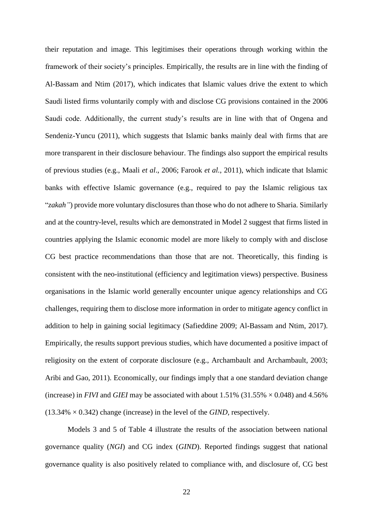their reputation and image. This legitimises their operations through working within the framework of their society's principles. Empirically, the results are in line with the finding of Al-Bassam and Ntim (2017), which indicates that Islamic values drive the extent to which Saudi listed firms voluntarily comply with and disclose CG provisions contained in the 2006 Saudi code. Additionally, the current study's results are in line with that of Ongena and Sendeniz-Yuncu (2011), which suggests that Islamic banks mainly deal with firms that are more transparent in their disclosure behaviour. The findings also support the empirical results of previous studies (e.g., Maali *et al*., 2006; Farook *et al.*, 2011), which indicate that Islamic banks with effective Islamic governance (e.g., required to pay the Islamic religious tax "*zakah"*) provide more voluntary disclosures than those who do not adhere to Sharia. Similarly and at the country-level, results which are demonstrated in Model 2 suggest that firms listed in countries applying the Islamic economic model are more likely to comply with and disclose CG best practice recommendations than those that are not. Theoretically, this finding is consistent with the neo-institutional (efficiency and legitimation views) perspective. Business organisations in the Islamic world generally encounter unique agency relationships and CG challenges, requiring them to disclose more information in order to mitigate agency conflict in addition to help in gaining social legitimacy (Safieddine 2009; Al-Bassam and Ntim, 2017). Empirically, the results support previous studies, which have documented a positive impact of religiosity on the extent of corporate disclosure (e.g., Archambault and Archambault, 2003; Aribi and Gao, 2011). Economically, our findings imply that a one standard deviation change (increase) in *FIVI* and *GIEI* may be associated with about 1.51% (31.55%  $\times$  0.048) and 4.56% (13.34% × 0.342) change (increase) in the level of the *GIND,* respectively.

Models 3 and 5 of Table 4 illustrate the results of the association between national governance quality (*NGI*) and CG index (*GIND*). Reported findings suggest that national governance quality is also positively related to compliance with, and disclosure of, CG best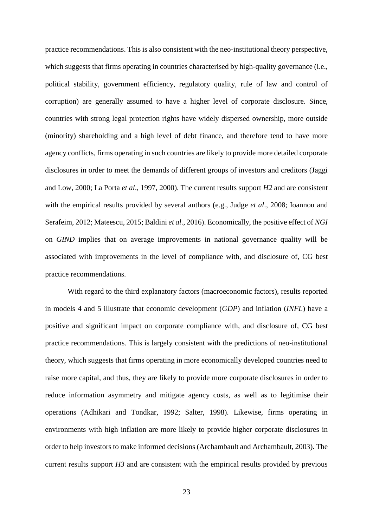practice recommendations. This is also consistent with the neo-institutional theory perspective, which suggests that firms operating in countries characterised by high-quality governance (i.e., political stability, government efficiency, regulatory quality, rule of law and control of corruption) are generally assumed to have a higher level of corporate disclosure. Since, countries with strong legal protection rights have widely dispersed ownership, more outside (minority) shareholding and a high level of debt finance, and therefore tend to have more agency conflicts, firms operating in such countries are likely to provide more detailed corporate disclosures in order to meet the demands of different groups of investors and creditors (Jaggi and Low, 2000; La Porta *et al*., 1997, 2000). The current results support *H2* and are consistent with the empirical results provided by several authors (e.g., Judge *et al*., 2008; Ioannou and Serafeim, 2012; Mateescu, 2015; Baldini *et al*., 2016). Economically, the positive effect of *NGI* on *GIND* implies that on average improvements in national governance quality will be associated with improvements in the level of compliance with, and disclosure of, CG best practice recommendations.

With regard to the third explanatory factors (macroeconomic factors), results reported in models 4 and 5 illustrate that economic development (*GDP*) and inflation (*INFL*) have a positive and significant impact on corporate compliance with, and disclosure of, CG best practice recommendations. This is largely consistent with the predictions of neo-institutional theory, which suggests that firms operating in more economically developed countries need to raise more capital, and thus, they are likely to provide more corporate disclosures in order to reduce information asymmetry and mitigate agency costs, as well as to legitimise their operations (Adhikari and Tondkar, 1992; Salter, 1998). Likewise, firms operating in environments with high inflation are more likely to provide higher corporate disclosures in order to help investors to make informed decisions (Archambault and Archambault, 2003). The current results support *H3* and are consistent with the empirical results provided by previous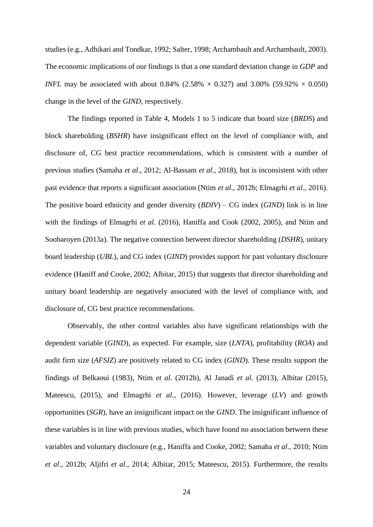studies (e.g., Adhikari and Tondkar, 1992; Salter, 1998; Archambault and Archambault, 2003). The economic implications of our findings is that a one standard deviation change in *GDP* and *INFL* may be associated with about 0.84% (2.58%  $\times$  0.327) and 3.00% (59.92%  $\times$  0.050) change in the level of the *GIND,* respectively.

The findings reported in Table 4, Models 1 to 5 indicate that board size (*BRDS*) and block shareholding (*BSHR*) have insignificant effect on the level of compliance with, and disclosure of, CG best practice recommendations, which is consistent with a number of previous studies (Samaha *et al*., 2012; Al-Bassam *et al*., 2018), but is inconsistent with other past evidence that reports a significant association (Ntim *et al*., 2012b; Elmagrhi *et al*., 2016). The positive board ethnicity and gender diversity (*BDIV*) – CG index (*GIND*) link is in line with the findings of Elmagrhi *et al.* (2016), Haniffa and Cook (2002, 2005), and Ntim and Soobaroyen (2013a). The negative connection between director shareholding (*DSHR*), unitary board leadership (*UBL*), and CG index (*GIND*) provides support for past voluntary disclosure evidence (Haniff and Cooke, 2002; Albitar, 2015) that suggests that director shareholding and unitary board leadership are negatively associated with the level of compliance with, and disclosure of, CG best practice recommendations.

Observably, the other control variables also have significant relationships with the dependent variable (*GIND*), as expected. For example, size (*LNTA*), profitability (*ROA*) and audit firm size (*AFSIZ*) are positively related to CG index (*GIND*). These results support the findings of Belkaoui (1983), Ntim *et al*. (2012b), Al Janadi *et al*. (2013), Albitar (2015), Mateescu, (2015), and Elmagrhi *et al*., (2016). However, leverage (*LV*) and growth opportunities (*SGR*), have an insignificant impact on the *GIND*. The insignificant influence of these variables is in line with previous studies, which have found no association between these variables and voluntary disclosure (e.g., Haniffa and Cooke, 2002; Samaha *et al*., 2010; Ntim *et al*., 2012b; Aljifri *et al*., 2014; Albitar, 2015; Mateescu, 2015). Furthermore, the results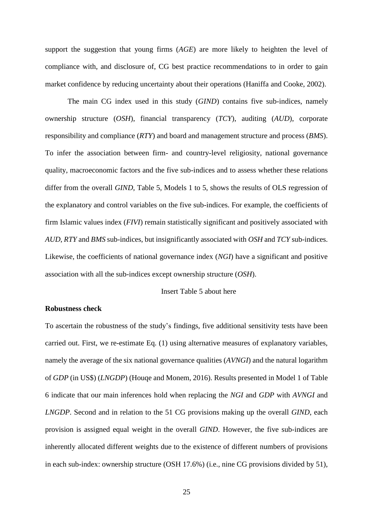support the suggestion that young firms (*AGE*) are more likely to heighten the level of compliance with, and disclosure of, CG best practice recommendations to in order to gain market confidence by reducing uncertainty about their operations (Haniffa and Cooke, 2002).

The main CG index used in this study (*GIND*) contains five sub-indices, namely ownership structure (*OSH*), financial transparency (*TCY*), auditing (*AUD*), corporate responsibility and compliance (*RTY*) and board and management structure and process (*BMS*). To infer the association between firm- and country-level religiosity, national governance quality, macroeconomic factors and the five sub-indices and to assess whether these relations differ from the overall *GIND*, Table 5, Models 1 to 5, shows the results of OLS regression of the explanatory and control variables on the five sub-indices. For example, the coefficients of firm Islamic values index (*FIVI*) remain statistically significant and positively associated with *AUD*, *RTY* and *BMS* sub-indices, but insignificantly associated with *OSH* and *TCY* sub-indices. Likewise, the coefficients of national governance index (*NGI*) have a significant and positive association with all the sub-indices except ownership structure (*OSH*).

## Insert Table 5 about here

## **Robustness check**

To ascertain the robustness of the study's findings, five additional sensitivity tests have been carried out. First, we re-estimate Eq. (1) using alternative measures of explanatory variables, namely the average of the six national governance qualities (*AVNGI*) and the natural logarithm of *GDP* (in US\$) (*LNGDP*) (Houqe and Monem, 2016). Results presented in Model 1 of Table 6 indicate that our main inferences hold when replacing the *NGI* and *GDP* with *AVNGI* and *LNGDP*. Second and in relation to the 51 CG provisions making up the overall *GIND*, each provision is assigned equal weight in the overall *GIND*. However, the five sub-indices are inherently allocated different weights due to the existence of different numbers of provisions in each sub-index: ownership structure (OSH 17.6%) (i.e., nine CG provisions divided by 51),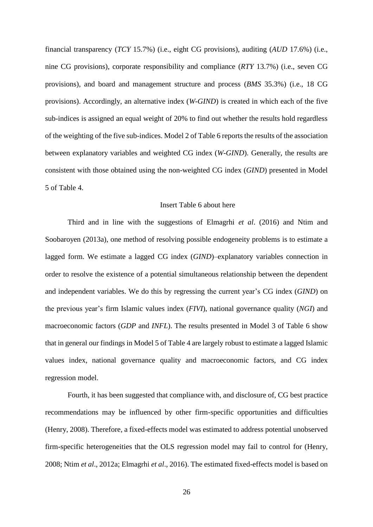financial transparency (*TCY* 15.7%) (i.e., eight CG provisions), auditing (*AUD* 17.6%) (i.e., nine CG provisions), corporate responsibility and compliance (*RTY* 13.7%) (i.e., seven CG provisions), and board and management structure and process (*BMS* 35.3%) (i.e., 18 CG provisions). Accordingly, an alternative index (*W-GIND*) is created in which each of the five sub-indices is assigned an equal weight of 20% to find out whether the results hold regardless of the weighting of the five sub-indices. Model 2 of Table 6 reports the results of the association between explanatory variables and weighted CG index (*W-GIND*). Generally, the results are consistent with those obtained using the non-weighted CG index (*GIND*) presented in Model 5 of Table 4.

## Insert Table 6 about here

Third and in line with the suggestions of Elmagrhi *et al*. (2016) and Ntim and Soobaroyen (2013a), one method of resolving possible endogeneity problems is to estimate a lagged form. We estimate a lagged CG index (*GIND*)–explanatory variables connection in order to resolve the existence of a potential simultaneous relationship between the dependent and independent variables. We do this by regressing the current year's CG index (*GIND*) on the previous year's firm Islamic values index (*FIVI*), national governance quality (*NGI*) and macroeconomic factors (*GDP* and *INFL*). The results presented in Model 3 of Table 6 show that in general our findings in Model 5 of Table 4 are largely robust to estimate a lagged Islamic values index, national governance quality and macroeconomic factors, and CG index regression model.

Fourth, it has been suggested that compliance with, and disclosure of, CG best practice recommendations may be influenced by other firm-specific opportunities and difficulties (Henry, 2008). Therefore, a fixed-effects model was estimated to address potential unobserved firm-specific heterogeneities that the OLS regression model may fail to control for (Henry, 2008; Ntim *et al*., 2012a; Elmagrhi *et al*., 2016). The estimated fixed-effects model is based on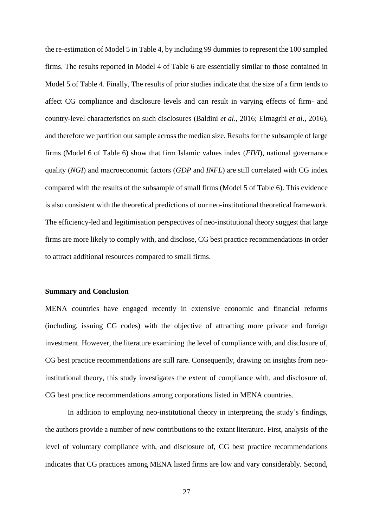the re-estimation of Model 5 in Table 4, by including 99 dummies to represent the 100 sampled firms. The results reported in Model 4 of Table 6 are essentially similar to those contained in Model 5 of Table 4. Finally, The results of prior studies indicate that the size of a firm tends to affect CG compliance and disclosure levels and can result in varying effects of firm- and country-level characteristics on such disclosures (Baldini *et al*., 2016; Elmagrhi *et al*., 2016), and therefore we partition our sample across the median size. Results for the subsample of large firms (Model 6 of Table 6) show that firm Islamic values index (*FIVI*), national governance quality (*NGI*) and macroeconomic factors (*GDP* and *INFL*) are still correlated with CG index compared with the results of the subsample of small firms (Model 5 of Table 6). This evidence is also consistent with the theoretical predictions of our neo-institutional theoretical framework. The efficiency-led and legitimisation perspectives of neo-institutional theory suggest that large firms are more likely to comply with, and disclose, CG best practice recommendations in order to attract additional resources compared to small firms.

#### **Summary and Conclusion**

MENA countries have engaged recently in extensive economic and financial reforms (including, issuing CG codes) with the objective of attracting more private and foreign investment. However, the literature examining the level of compliance with, and disclosure of, CG best practice recommendations are still rare. Consequently, drawing on insights from neoinstitutional theory, this study investigates the extent of compliance with, and disclosure of, CG best practice recommendations among corporations listed in MENA countries.

In addition to employing neo-institutional theory in interpreting the study's findings, the authors provide a number of new contributions to the extant literature. First, analysis of the level of voluntary compliance with, and disclosure of, CG best practice recommendations indicates that CG practices among MENA listed firms are low and vary considerably. Second,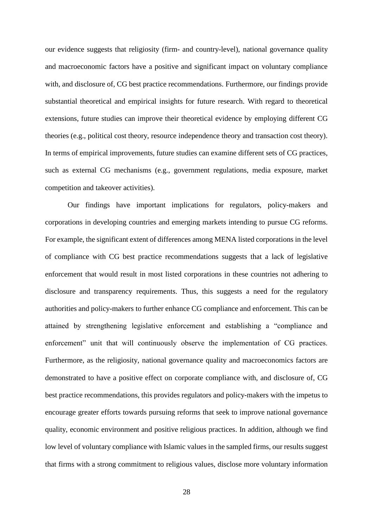our evidence suggests that religiosity (firm- and country-level), national governance quality and macroeconomic factors have a positive and significant impact on voluntary compliance with, and disclosure of, CG best practice recommendations. Furthermore, our findings provide substantial theoretical and empirical insights for future research. With regard to theoretical extensions, future studies can improve their theoretical evidence by employing different CG theories (e.g., political cost theory, resource independence theory and transaction cost theory). In terms of empirical improvements, future studies can examine different sets of CG practices, such as external CG mechanisms (e.g., government regulations, media exposure, market competition and takeover activities).

Our findings have important implications for regulators, policy-makers and corporations in developing countries and emerging markets intending to pursue CG reforms. For example, the significant extent of differences among MENA listed corporations in the level of compliance with CG best practice recommendations suggests that a lack of legislative enforcement that would result in most listed corporations in these countries not adhering to disclosure and transparency requirements. Thus, this suggests a need for the regulatory authorities and policy-makers to further enhance CG compliance and enforcement. This can be attained by strengthening legislative enforcement and establishing a "compliance and enforcement" unit that will continuously observe the implementation of CG practices. Furthermore, as the religiosity, national governance quality and macroeconomics factors are demonstrated to have a positive effect on corporate compliance with, and disclosure of, CG best practice recommendations, this provides regulators and policy-makers with the impetus to encourage greater efforts towards pursuing reforms that seek to improve national governance quality, economic environment and positive religious practices. In addition, although we find low level of voluntary compliance with Islamic values in the sampled firms, our results suggest that firms with a strong commitment to religious values, disclose more voluntary information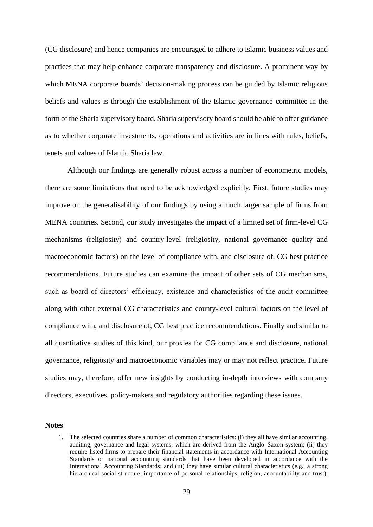(CG disclosure) and hence companies are encouraged to adhere to Islamic business values and practices that may help enhance corporate transparency and disclosure. A prominent way by which MENA corporate boards' decision-making process can be guided by Islamic religious beliefs and values is through the establishment of the Islamic governance committee in the form of the Sharia supervisory board. Sharia supervisory board should be able to offer guidance as to whether corporate investments, operations and activities are in lines with rules, beliefs, tenets and values of Islamic Sharia law.

Although our findings are generally robust across a number of econometric models, there are some limitations that need to be acknowledged explicitly. First, future studies may improve on the generalisability of our findings by using a much larger sample of firms from MENA countries. Second, our study investigates the impact of a limited set of firm-level CG mechanisms (religiosity) and country-level (religiosity, national governance quality and macroeconomic factors) on the level of compliance with, and disclosure of, CG best practice recommendations. Future studies can examine the impact of other sets of CG mechanisms, such as board of directors' efficiency, existence and characteristics of the audit committee along with other external CG characteristics and county-level cultural factors on the level of compliance with, and disclosure of, CG best practice recommendations. Finally and similar to all quantitative studies of this kind, our proxies for CG compliance and disclosure, national governance, religiosity and macroeconomic variables may or may not reflect practice. Future studies may, therefore, offer new insights by conducting in-depth interviews with company directors, executives, policy-makers and regulatory authorities regarding these issues.

#### **Notes**

<sup>1.</sup> The selected countries share a number of common characteristics: (i) they all have similar accounting, auditing, governance and legal systems, which are derived from the Anglo–Saxon system; (ii) they require listed firms to prepare their financial statements in accordance with International Accounting Standards or national accounting standards that have been developed in accordance with the International Accounting Standards; and (iii) they have similar cultural characteristics (e.g., a strong hierarchical social structure, importance of personal relationships, religion, accountability and trust),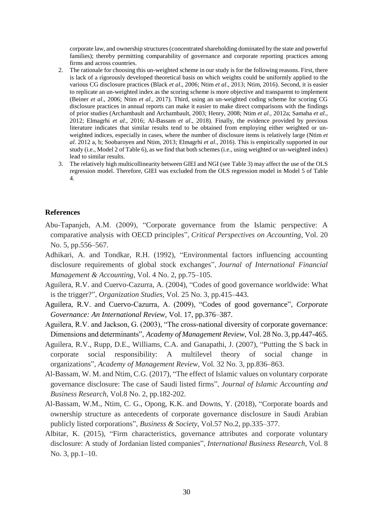corporate law, and ownership structures (concentrated shareholding dominated by the state and powerful families); thereby permitting comparability of governance and corporate reporting practices among firms and across countries.

- 2. The rationale for choosing this un-weighted scheme in our study is for the following reasons. First, there is lack of a rigorously developed theoretical basis on which weights could be uniformly applied to the various CG disclosure practices (Black *et al*., 2006; Ntim *et al*., 2013; Ntim, 2016). Second, it is easier to replicate an un-weighted index as the scoring scheme is more objective and transparent to implement (Beiner *et al*., 2006; Ntim *et al*., 2017). Third, using an un-weighted coding scheme for scoring CG disclosure practices in annual reports can make it easier to make direct comparisons with the findings of prior studies (Archambault and Archambault, 2003; Henry, 2008; Ntim *et al.,* 2012a; Samaha *et al.*, 2012; Elmagrhi *et al*., 2016; Al-Bassam *et al*., 2018). Finally, the evidence provided by previous literature indicates that similar results tend to be obtained from employing either weighted or unweighted indices, especially in cases, where the number of disclosure items is relatively large (Ntim *et al*. 2012 a, b; Soobaroyen and Ntim, 2013; Elmagrhi *et al*., 2016). This is empirically supported in our study (i.e., Model 2 of Table 6), as we find that both schemes (i.e., using weighted or un-weighted index) lead to similar results.
- 3. The relatively high multicollinearity between GIEI and NGI (see Table 3) may affect the use of the OLS regression model. Therefore, GIEI was excluded from the OLS regression model in Model 5 of Table 4.

#### **References**

- Abu-Tapanjeh, A.M. (2009), "Corporate governance from the Islamic perspective: A comparative analysis with OECD principles", *Critical Perspectives on Accounting*, Vol. 20 No. 5, pp.556–567.
- Adhikari, A. and Tondkar, R.H. (1992), "Environmental factors influencing accounting disclosure requirements of global stock exchanges", *Journal of International Financial Management & Accounting*, Vol. 4 No. 2, pp.75–105.
- Aguilera, R.V. and Cuervo-Cazurra, A. (2004), "Codes of good governance worldwide: What is the trigger?", *Organization Studies*, Vol. 25 No. 3, pp.415–443.
- Aguilera, R.V. and Cuervo-Cazurra, A. (2009), "Codes of good governance", *Corporate Governance: An International Review*, Vol. 17, pp.376–387.
- Aguilera, R.V. and Jackson, G. (2003), "The cross-national diversity of corporate governance: Dimensions and determinants", *Academy of Management Review*, Vol. 28 No. 3, pp.447-465.
- Aguilera, R.V., Rupp, D.E., Williams, C.A. and Ganapathi, J. (2007), "Putting the S back in corporate social responsibility: A multilevel theory of social change in organizations", *Academy of Management Review*, Vol. 32 No. 3, pp.836–863.
- Al-Bassam, W. M. and Ntim, C.G. (2017), "The effect of Islamic values on voluntary corporate governance disclosure: The case of Saudi listed firms", *Journal of Islamic Accounting and Business Research*, Vol.8 No. 2, pp.182-202.
- Al-Bassam, W.M., Ntim, C. G., Opong, K.K. and Downs, Y. (2018), "Corporate boards and ownership structure as antecedents of corporate governance disclosure in Saudi Arabian publicly listed corporations", *Business & Society,* Vol.57 No.2, pp.335–377.
- Albitar, K. (2015), "Firm characteristics, governance attributes and corporate voluntary disclosure: A study of Jordanian listed companies", *International Business Research*, Vol. 8 No. 3, pp.1–10.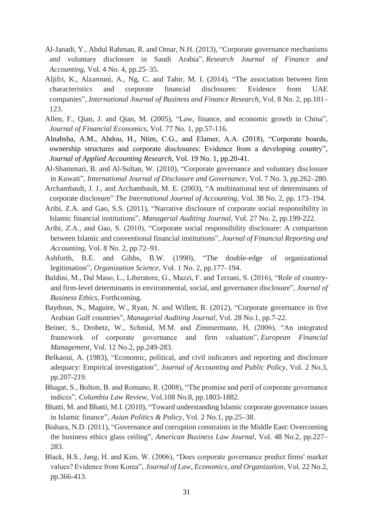- Al-Janadi, Y., Abdul Rahman, R. and Omar, N.H. (2013), "Corporate governance mechanisms and voluntary disclosure in Saudi Arabia", *Research Journal of Finance and Accounting*, Vol. 4 No. 4, pp.25–35.
- Aljifri, K., Alzarouni, A., Ng, C. and Tahir, M. I. (2014), "The association between firm characteristics and corporate financial disclosures: Evidence from UAE companies", *International Journal of Business and Finance Research*, Vol. 8 No. 2, pp.101– 123.
- Allen, F., Qian, J. and Qian, M. (2005), "Law, finance, and economic growth in China", *Journal of Financial Economics*, Vol. 77 No. 1, pp.57-116.
- Alnabsha, A.M., Abdou, H., Ntim, C.G., and Elamer, A.A. (2018), "Corporate boards, ownership structures and corporate disclosures: Evidence from a developing country", *Journal of Applied Accounting Research*, Vol. 19 No. 1, pp.20-41.
- Al-Shammari, B. and Al-Sultan, W. (2010), "Corporate governance and voluntary disclosure in Kuwait", *International Journal of Disclosure and Governance*, Vol. 7 No. 3, pp.262–280.
- Archambault, J. J., and Archambault, M. E. (2003), "A multinational test of determinants of corporate disclosure" *The International Journal of Accounting*, Vol. 38 No. 2, pp. 173–194.
- Aribi, Z.A. and Gao, S.S. (2011), "Narrative disclosure of corporate social responsibility in Islamic financial institutions", *Managerial Auditing Journal*, Vol. 27 No. 2, pp.199-222.
- Aribi, Z.A., and Gao, S. (2010), "Corporate social responsibility disclosure: A comparison between Islamic and conventional financial institutions", *Journal of Financial Reporting and Accounting*, Vol. 8 No. 2, pp.72–91.
- Ashforth, B.E. and Gibbs, B.W. (1990), "The double-edge of organizational legitimation", *Organization Science*, Vol. 1 No. 2, pp.177–194.
- Baldini, M., Dal Maso, L., Liberatore, G., Mazzi, F. and Terzani, S. (2016), "Role of countryand firm-level determinants in environmental, social, and governance disclosure", *Journal of Business Ethics*, Forthcoming.
- Baydoun, N., Maguire, W., Ryan, N. and Willett, R. (2012), "Corporate governance in five Arabian Gulf countries", *Managerial Auditing Journal*, Vol. 28 No.1, pp.7-22.
- Beiner, S., Drobetz, W., Schmid, M.M. and Zimmermann, H, (2006), "An integrated framework of corporate governance and firm valuation", *European Financial Management*, Vol. 12 No.2, pp.249-283.
- Belkaoui, A. (1983), "Economic, political, and civil indicators and reporting and disclosure adequacy: Empirical investigation", *Journal of Accounting and Public Policy*, Vol. 2 No.3, pp.207-219.
- Bhagat, S., Bolton, B. and Romano, R. (2008), "The promise and peril of corporate governance indices", *Columbia Law Review*, Vol.108 No.8, pp.1803-1882.
- Bhatti, M. and Bhatti, M.I. (2010), "Toward understanding Islamic corporate governance issues in Islamic finance", *Asian Politics & Policy*, Vol. 2 No.1, pp.25–38.
- Bishara, N.D. (2011), "Governance and corruption constraints in the Middle East: Overcoming the business ethics glass ceiling", *American Business Law Journal*, Vol. 48 No.2, pp.227– 283.
- Black, B.S., Jang, H. and Kim, W. (2006), "Does corporate governance predict firms' market values? Evidence from Korea", *Journal of Law, Economics, and Organization*, Vol. 22 No.2, pp.366-413.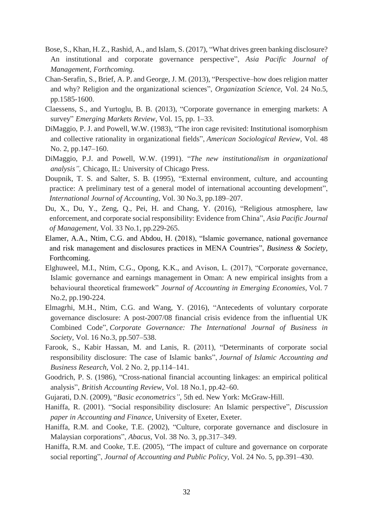- Bose, S., Khan, H. Z., Rashid, A., and Islam, S. (2017), "What drives green banking disclosure? An institutional and corporate governance perspective", *Asia Pacific Journal of Management, Forthcoming.*
- Chan-Serafin, S., Brief, A. P. and George, J. M. (2013), "Perspective–how does religion matter and why? Religion and the organizational sciences", *Organization Science*, Vol. 24 No.5, pp.1585-1600.
- Claessens, S., and Yurtoglu, B. B. (2013), "Corporate governance in emerging markets: A survey" *Emerging Markets Review*, Vol. 15, pp. 1–33.
- DiMaggio, P. J. and Powell, W.W. (1983), "The iron cage revisited: Institutional isomorphism and collective rationality in organizational fields", *American Sociological Review*, Vol. 48 No. 2, pp.147–160.
- DiMaggio, P.J. and Powell, W.W. (1991). "*The new institutionalism in organizational analysis",* Chicago, IL: University of Chicago Press.
- Doupnik, T. S. and Salter, S. B. (1995), "External environment, culture, and accounting practice: A preliminary test of a general model of international accounting development", *International Journal of Accounting*, Vol. 30 No.3, pp.189–207.
- Du, X., Du, Y., Zeng, Q., Pei, H. and Chang, Y. (2016), "Religious atmosphere, law enforcement, and corporate social responsibility: Evidence from China", *Asia Pacific Journal of Management*, Vol. 33 No.1, pp.229-265.
- Elamer, A.A., Ntim, C.G. and Abdou, H. (2018), "Islamic governance, national governance and risk management and disclosures practices in MENA Countries", *Business & Society*, Forthcoming.
- Elghuweel, M.I., Ntim, C.G., Opong, K.K., and Avison, L. (2017), "Corporate governance, Islamic governance and earnings management in Oman: A new empirical insights from a behavioural theoretical framework" *Journal of Accounting in Emerging Economies*, Vol. 7 No.2, pp.190-224.
- Elmagrhi, M.H., Ntim, C.G. and Wang, Y. (2016), "Antecedents of voluntary corporate governance disclosure: A post-2007/08 financial crisis evidence from the influential UK Combined Code", *Corporate Governance: The International Journal of Business in Society*, Vol. 16 No.3, pp.507–538.
- Farook, S., Kabir Hassan, M. and Lanis, R. (2011), "Determinants of corporate social responsibility disclosure: The case of Islamic banks", *Journal of Islamic Accounting and Business Research*, Vol. 2 No. 2, pp.114–141.
- Goodrich, P. S. (1986), "Cross-national financial accounting linkages: an empirical political analysis", *British Accounting Review*, Vol. 18 No.1, pp.42–60.
- Gujarati, D.N. (2009), "*Basic econometrics"*, 5th ed. New York: McGraw-Hill.
- Haniffa, R. (2001). "Social responsibility disclosure: An Islamic perspective", *Discussion paper in Accounting and Finance*, University of Exeter, Exeter.
- Haniffa, R.M. and Cooke, T.E. (2002), "Culture, corporate governance and disclosure in Malaysian corporations", *Abacus*, Vol. 38 No. 3, pp.317–349.
- Haniffa, R.M. and Cooke, T.E. (2005), "The impact of culture and governance on corporate social reporting", *Journal of Accounting and Public Policy*, Vol. 24 No. 5, pp.391–430.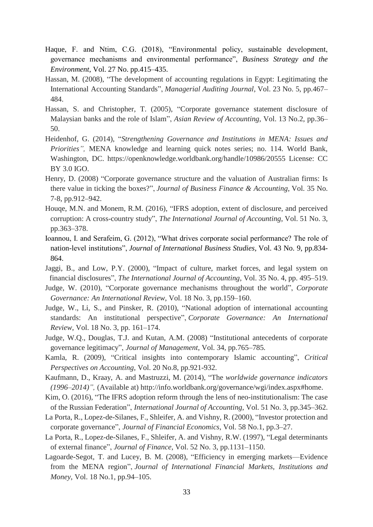- Haque, F. and Ntim, C.G. (2018), "Environmental policy, sustainable development, governance mechanisms and environmental performance", *Business Strategy and the Environment*, Vol. 27 No. pp.415–435.
- Hassan, M. (2008), "The development of accounting regulations in Egypt: Legitimating the International Accounting Standards", *Managerial Auditing Journal*, Vol. 23 No. 5, pp.467– 484.
- Hassan, S. and Christopher, T. (2005), "Corporate governance statement disclosure of Malaysian banks and the role of Islam", *Asian Review of Accounting*, Vol. 13 No.2, pp.36– 50.
- Heidenhof, G. (2014), "*Strengthening Governance and Institutions in MENA: Issues and Priorities",* MENA knowledge and learning quick notes series; no. 114. World Bank, Washington, DC. https://openknowledge.worldbank.org/handle/10986/20555 License: CC BY 3.0 IGO.
- Henry, D. (2008) "Corporate governance structure and the valuation of Australian firms: Is there value in ticking the boxes?", *Journal of Business Finance & Accounting*, Vol. 35 No. 7‐8, pp.912–942.
- Houqe, M.N. and Monem, R.M. (2016), "IFRS adoption, extent of disclosure, and perceived corruption: A cross-country study", *The International Journal of Accounting*, Vol. 51 No. 3, pp.363–378.
- Ioannou, I. and Serafeim, G. (2012), "What drives corporate social performance? The role of nation-level institutions", *Journal of International Business Studies*, Vol. 43 No. 9, pp.834- 864.
- Jaggi, B., and Low, P.Y. (2000), "Impact of culture, market forces, and legal system on financial disclosures", *The International Journal of Accounting*, Vol. 35 No. 4, pp. 495–519.
- Judge, W. (2010), "Corporate governance mechanisms throughout the world", *Corporate Governance: An International Review*, Vol. 18 No. 3, pp.159–160.
- Judge, W., Li, S., and Pinsker, R. (2010), "National adoption of international accounting standards: An institutional perspective", *Corporate Governance: An International Review*, Vol. 18 No. 3, pp. 161–174.
- Judge, W.Q., Douglas, T.J. and Kutan, A.M. (2008) "Institutional antecedents of corporate governance legitimacy", *Journal of Management*, Vol. 34, pp.765–785*.*
- Kamla, R. (2009), "Critical insights into contemporary Islamic accounting", *Critical Perspectives on Accounting*, Vol. 20 No.8, pp.921-932.
- Kaufmann, D., Kraay, A. and Mastruzzi, M. (2014), "The *worldwide governance indicators (1996–2014)",* (Available at) http://info.worldbank.org/governance/wgi/index.aspx#home.
- Kim, O. (2016), "The IFRS adoption reform through the lens of neo-institutionalism: The case of the Russian Federation", *International Journal of Accounting*, Vol. 51 No. 3, pp.345–362.
- La Porta, R., Lopez-de-Silanes, F., Shleifer, A. and Vishny, R. (2000), "Investor protection and corporate governance", *Journal of Financial Economics*, Vol. 58 No.1, pp.3–27.
- La Porta, R., Lopez-de-Silanes, F., Shleifer, A. and Vishny, R.W. (1997), "Legal determinants of external finance", *Journal of Finance*, Vol. 52 No. 3, pp.1131–1150.
- Lagoarde-Segot, T. and Lucey, B. M. (2008), "Efficiency in emerging markets—Evidence from the MENA region", *Journal of International Financial Markets, Institutions and Money*, Vol. 18 No.1, pp.94–105.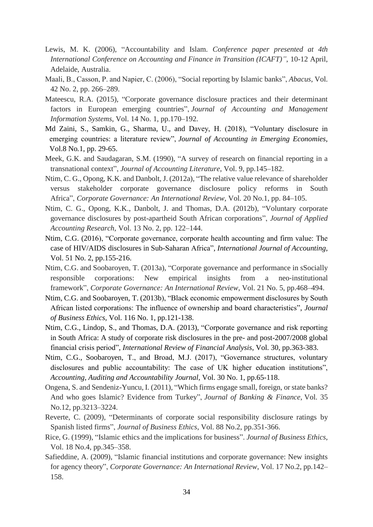- Lewis, M. K. (2006), "Accountability and Islam. *Conference paper presented at 4th International Conference on Accounting and Finance in Transition (ICAFT)"*, 10-12 April, Adelaide, Australia.
- Maali, B., Casson, P. and Napier, C. (2006), "Social reporting by Islamic banks", *Abacus*, Vol. 42 No. 2, pp. 266–289.
- Mateescu, R.A. (2015), "Corporate governance disclosure practices and their determinant factors in European emerging countries", *Journal of Accounting and Management Information Systems*, Vol. 14 No. 1, pp.170–192.
- Md Zaini, S., Samkin, G., Sharma, U., and Davey, H. (2018), "Voluntary disclosure in emerging countries: a literature review", *Journal of Accounting in Emerging Economies*, Vol.8 No*.*1, pp. 29-65.
- Meek, G.K. and Saudagaran, S.M. (1990), "A survey of research on financial reporting in a transnational context", *Journal of Accounting Literature*, Vol. 9, pp.145–182.
- Ntim, C. G., Opong, K.K. and Danbolt, J. (2012a), "The relative value relevance of shareholder versus stakeholder corporate governance disclosure policy reforms in South Africa", *Corporate Governance: An International Review*, Vol. 20 No.1, pp. 84–105.
- Ntim, C. G., Opong, K.K., Danbolt, J. and Thomas, D.A. (2012b), "Voluntary corporate governance disclosures by post-apartheid South African corporations", *Journal of Applied Accounting Research*, Vol. 13 No. 2, pp. 122–144.
- Ntim, C.G. (2016), "Corporate governance, corporate health accounting and firm value: The case of HIV/AIDS disclosures in Sub-Saharan Africa", *International Journal of Accounting*, Vol. 51 No. 2, pp.155-216.
- Ntim, C.G. and Soobaroyen, T. (2013a), "Corporate governance and performance in sSocially responsible corporations: New empirical insights from a neo‐institutional framework", *Corporate Governance: An International Review*, Vol. 21 No. 5, pp.468–494.
- Ntim, C.G. and Soobaroyen, T. (2013b), "Black economic empowerment disclosures by South African listed corporations: The influence of ownership and board characteristics", *Journal of Business Ethics,* Vol. 116 No. 1, pp.121-138.
- Ntim, C.G., Lindop, S., and Thomas, D.A. (2013), "Corporate governance and risk reporting in South Africa: A study of corporate risk disclosures in the pre- and post-2007/2008 global financial crisis period", *International Review of Financial Analysis*, Vol. 30, pp.363-383.
- Ntim, C.G., Soobaroyen, T., and Broad, M.J. (2017), "Governance structures, voluntary disclosures and public accountability: The case of UK higher education institutions", *Accounting, Auditing and Accountability Journal,* Vol. 30 No. 1, pp.65-118.
- Ongena, S. and Sendeniz-Yuncu, I. (2011), "Which firms engage small, foreign, or state banks? And who goes Islamic? Evidence from Turkey", *Journal of Banking & Finance*, Vol. 35 No.12, pp.3213–3224.
- Reverte, C. (2009), "Determinants of corporate social responsibility disclosure ratings by Spanish listed firms", *Journal of Business Ethics*, Vol. 88 No.2, pp.351-366.
- Rice, G. (1999), "Islamic ethics and the implications for business". *Journal of Business Ethics*, Vol. 18 No.4, pp.345–358.
- Safieddine, A. (2009), "Islamic financial institutions and corporate governance: New insights for agency theory", *Corporate Governance: An International Review*, Vol. 17 No.2, pp.142– 158.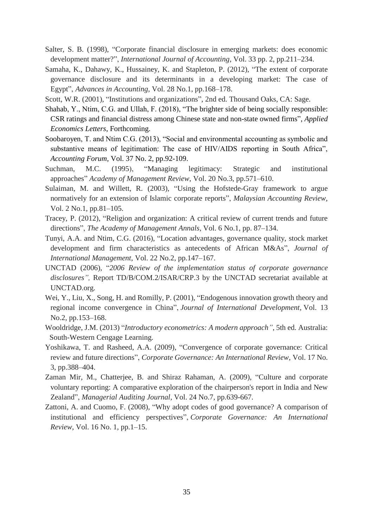- Salter, S. B. (1998), "Corporate financial disclosure in emerging markets: does economic development matter?", *International Journal of Accounting*, Vol. 33 pp. 2, pp.211–234.
- Samaha, K., Dahawy, K., Hussainey, K. and Stapleton, P. (2012), "The extent of corporate governance disclosure and its determinants in a developing market: The case of Egypt", *Advances in Accounting*, Vol. 28 No.1, pp.168–178.
- Scott, W.R. (2001), "Institutions and organizations", 2nd ed. Thousand Oaks, CA: Sage.
- Shahab, Y., Ntim, C.G. and Ullah, F. (2018), "The brighter side of being socially responsible: CSR ratings and financial distress among Chinese state and non-state owned firms", *Applied Economics Letters*, Forthcoming.
- Soobaroyen, T. and Ntim C.G. (2013), "Social and environmental accounting as symbolic and substantive means of legitimation: The case of HIV/AIDS reporting in South Africa", *Accounting Forum,* Vol. 37 No. 2, pp.92-109.
- Suchman, M.C. (1995), "Managing legitimacy: Strategic and institutional approaches" *Academy of Management Review*, Vol. 20 No.3, pp.571–610.
- Sulaiman, M. and Willett, R. (2003), "Using the Hofstede-Gray framework to argue normatively for an extension of Islamic corporate reports", *Malaysian Accounting Review*, Vol. 2 No.1, pp.81–105.
- Tracey, P. (2012), "Religion and organization: A critical review of current trends and future directions", *The Academy of Management Annals*, Vol. 6 No.1, pp. 87–134.
- Tunyi, A.A. and Ntim, C.G. (2016), "Location advantages, governance quality, stock market development and firm characteristics as antecedents of African M&As", *Journal of International Management*, Vol. 22 No.2, pp.147–167.
- UNCTAD (2006), "*2006 Review of the implementation status of corporate governance disclosures",* Report TD/B/COM.2/ISAR/CRP.3 by the UNCTAD secretariat available at UNCTAD.org.
- Wei, Y., Liu, X., Song, H. and Romilly, P. (2001), "Endogenous innovation growth theory and regional income convergence in China", *Journal of International Development*, Vol. 13 No.2, pp.153–168.
- Wooldridge, J.M. (2013) "*Introductory econometrics: A modern approach"*, 5th ed. Australia: South-Western Cengage Learning.
- Yoshikawa, T. and Rasheed, A.A. (2009), "Convergence of corporate governance: Critical review and future directions", *Corporate Governance: An International Review*, Vol. 17 No. 3, pp.388–404.
- Zaman Mir, M., Chatterjee, B. and Shiraz Rahaman, A. (2009), "Culture and corporate voluntary reporting: A comparative exploration of the chairperson's report in India and New Zealand", *Managerial Auditing Journal*, Vol. 24 No.7, pp.639-667.
- Zattoni, A. and Cuomo, F. (2008), "Why adopt codes of good governance? A comparison of institutional and efficiency perspectives", *Corporate Governance: An International Review*, Vol. 16 No. 1, pp.1–15.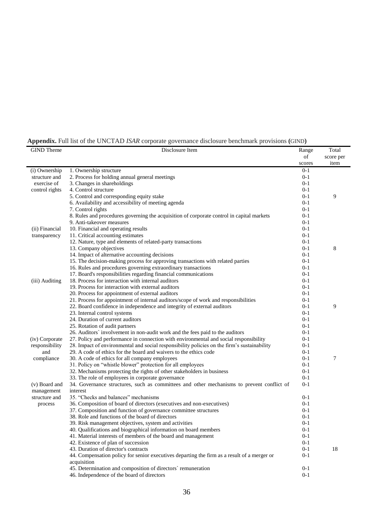| Appendix. Full list of the UNCTAD ISAR corporate governance disclosure benchmark provisions (GIND) |
|----------------------------------------------------------------------------------------------------|
|----------------------------------------------------------------------------------------------------|

| <b>GIND</b> Theme            | Disclosure Item                                                                                            | Range              | Total     |
|------------------------------|------------------------------------------------------------------------------------------------------------|--------------------|-----------|
|                              |                                                                                                            | of                 | score per |
|                              |                                                                                                            | scores             | item      |
| (i) Ownership                | 1. Ownership structure                                                                                     | $0 - 1$            |           |
| structure and<br>exercise of | 2. Process for holding annual general meetings<br>3. Changes in shareholdings                              | $0 - 1$<br>$0 - 1$ |           |
|                              | 4. Control structure                                                                                       | $0 - 1$            |           |
| control rights               | 5. Control and corresponding equity stake                                                                  | $0 - 1$            | 9         |
|                              | 6. Availability and accessibility of meeting agenda                                                        | $0 - 1$            |           |
|                              | 7. Control rights                                                                                          | $0 - 1$            |           |
|                              | 8. Rules and procedures governing the acquisition of corporate control in capital markets                  | $0 - 1$            |           |
|                              | 9. Anti-takeover measures                                                                                  | $0 - 1$            |           |
| (ii) Financial               | 10. Financial and operating results                                                                        | $0 - 1$            |           |
| transparency                 | 11. Critical accounting estimates                                                                          | $0 - 1$            |           |
|                              | 12. Nature, type and elements of related-party transactions                                                | $0 - 1$            |           |
|                              | 13. Company objectives                                                                                     | $0 - 1$            | 8         |
|                              | 14. Impact of alternative accounting decisions                                                             | $0 - 1$            |           |
|                              | 15. The decision-making process for approving transactions with related parties                            | $0 - 1$            |           |
|                              | 16. Rules and procedures governing extraordinary transactions                                              | $0 - 1$            |           |
|                              | 17. Board's responsibilities regarding financial communications                                            | $0 - 1$            |           |
| (iii) Auditing               | 18. Process for interaction with internal auditors                                                         | $0 - 1$            |           |
|                              | 19. Process for interaction with external auditors                                                         | $0 - 1$            |           |
|                              | 20. Process for appointment of external auditors                                                           | $0 - 1$            |           |
|                              | 21. Process for appointment of internal auditors/scope of work and responsibilities                        | $0 - 1$            |           |
|                              | 22. Board confidence in independence and integrity of external auditors                                    | $0 - 1$            | 9         |
|                              | 23. Internal control systems                                                                               | $0 - 1$            |           |
|                              | 24. Duration of current auditors                                                                           | $0 - 1$            |           |
|                              | 25. Rotation of audit partners                                                                             | $0 - 1$            |           |
|                              | 26. Auditors' involvement in non-audit work and the fees paid to the auditors                              | $0 - 1$            |           |
| (iv) Corporate               | 27. Policy and performance in connection with environmental and social responsibility                      | $0 - 1$            |           |
| responsibility               | 28. Impact of environmental and social responsibility policies on the firm's sustainability                | $0 - 1$            |           |
| and                          | 29. A code of ethics for the board and waivers to the ethics code                                          | $0 - 1$            |           |
| compliance                   | 30. A code of ethics for all company employees                                                             | $0 - 1$            | 7         |
|                              | 31. Policy on "whistle blower" protection for all employees                                                | $0 - 1$            |           |
|                              | 32. Mechanisms protecting the rights of other stakeholders in business                                     | $0 - 1$            |           |
|                              | 33. The role of employees in corporate governance                                                          | $0 - 1$            |           |
| (v) Board and                | 34. Governance structures, such as committees and other mechanisms to prevent conflict of                  | $0 - 1$            |           |
| management                   | interest                                                                                                   |                    |           |
| structure and                | 35. "Checks and balances" mechanisms                                                                       | $0 - 1$            |           |
| process                      | 36. Composition of board of directors (executives and non-executives)                                      | $0 - 1$            |           |
|                              | 37. Composition and function of governance committee structures                                            | $0 - 1$            |           |
|                              | 38. Role and functions of the board of directors                                                           | $0 - 1$            |           |
|                              | 39. Risk management objectives, system and activities                                                      | $0-1$              |           |
|                              | 40. Qualifications and biographical information on board members                                           | $0 - 1$            |           |
|                              | 41. Material interests of members of the board and management                                              | $0 - 1$            |           |
|                              | 42. Existence of plan of succession                                                                        | $0-1$              |           |
|                              | 43. Duration of director's contracts                                                                       | $0-1$              | 18        |
|                              | 44. Compensation policy for senior executives departing the firm as a result of a merger or<br>acquisition | $0 - 1$            |           |
|                              | 45. Determination and composition of directors' remuneration                                               | $0-1$              |           |
|                              | 46. Independence of the board of directors                                                                 | $0 - 1$            |           |
|                              |                                                                                                            |                    |           |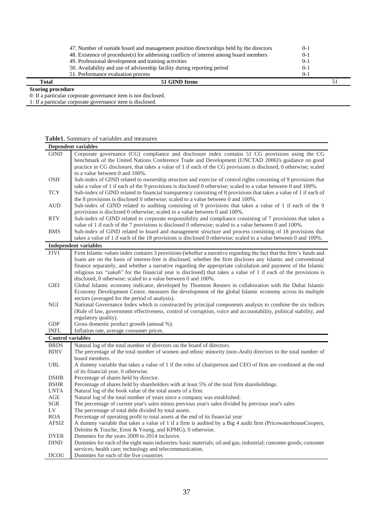| Total | 51 GIND Items                                                                           |         |  |
|-------|-----------------------------------------------------------------------------------------|---------|--|
|       | 51. Performance evaluation process                                                      | $0 - 1$ |  |
|       | 50. Availability and use of advisorship facility during reporting period                | $0-1$   |  |
|       | 49. Professional development and training activities                                    | $0-1$   |  |
|       | 48. Existence of procedure(s) for addressing conflicts of interest among board members  | $0-1$   |  |
|       | 47. Number of outside board and management position directorships held by the directors | $0-1$   |  |

#### **Scoring procedure**

0: If a particular corporate governance item is not disclosed.

1: If a particular corporate governance item is disclosed.

## **Table1.** Summary of variables and measures

|                          | <b>Dependent variables</b>                                                                                        |
|--------------------------|-------------------------------------------------------------------------------------------------------------------|
| <b>GIND</b>              | Corporate governance (CG) compliance and disclosure index contains 51 CG provisions using the CG                  |
|                          | benchmark of the United Nations Conference Trade and Development (UNCTAD 2006)'s guidance on good                 |
|                          | practice in CG disclosure, that takes a value of 1 if each of the CG provisions is disclosed, 0 otherwise; scaled |
|                          | to a value between 0 and 100%.                                                                                    |
| <b>OSH</b>               | Sub-index of GIND related to ownership structure and exercise of control rights consisting of 9 provisions that   |
|                          | take a value of 1 if each of the 9 provisions is disclosed 0 otherwise; scaled to a value between 0 and 100%.     |
| <b>TCY</b>               | Sub-index of GIND related to financial transparency consisting of 8 provisions that takes a value of 1 if each of |
|                          | the 8 provisions is disclosed 0 otherwise; scaled to a value between 0 and 100%.                                  |
| <b>AUD</b>               | Sub-index of GIND related to auditing consisting of 9 provisions that takes a value of 1 if each of the 9         |
|                          | provisions is disclosed 0 otherwise; scaled to a value between 0 and 100%.                                        |
| <b>RTY</b>               |                                                                                                                   |
|                          | Sub-index of GIND related to corporate responsibility and compliance consisting of 7 provisions that takes a      |
|                          | value of 1 if each of the 7 provisions is disclosed 0 otherwise; scaled to a value between 0 and 100%.            |
| <b>BMS</b>               | Sub-index of GIND related to board and management structure and process consisting of 18 provisions that          |
|                          | takes a value of 1 if each of the 18 provisions is disclosed 0 otherwise; scaled to a value between 0 and 100%.   |
|                          | <b>Independent variables</b>                                                                                      |
| <b>FIVI</b>              | Firm Islamic values index contains 3 provisions (whether a narrative regarding the fact that the firm's funds and |
|                          | loans are on the basis of interest-free is disclosed, whether the firm discloses any Islamic and conventional     |
|                          | finance separately, and whether a narrative regarding the appropriate calculation and payment of the Islamic      |
|                          | religious tax "zakah" for the financial year is disclosed) that takes a value of 1 if each of the provisions is   |
|                          | disclosed, 0 otherwise; scaled to a value between 0 and 100%.                                                     |
| <b>GIEI</b>              | Global Islamic economy indicator, developed by Thomson Reuters in collaboration with the Dubai Islamic            |
|                          | Economy Development Centre, measures the development of the global Islamic economy across its multiple            |
|                          | sectors (averaged for the period of analysis).                                                                    |
| <b>NGI</b>               | National Governance Index which is constructed by principal components analysis to combine the six indices        |
|                          | (Rule of law, government effectiveness, control of corruption, voice and accountability, political stability, and |
|                          | regulatory quality).                                                                                              |
| <b>GDP</b>               | Gross domestic product growth (annual %).                                                                         |
| <b>INFL</b>              | Inflation rate, average consumer prices.                                                                          |
| <b>Control variables</b> |                                                                                                                   |
| <b>BRDS</b>              | Natural log of the total number of directors on the board of directors.                                           |
| <b>BDIV</b>              | The percentage of the total number of women and ethnic minority (non-Arab) directors to the total number of       |
|                          | board members.                                                                                                    |
| <b>UBL</b>               | A dummy variable that takes a value of 1 if the roles of chairperson and CEO of firm are combined at the end      |
|                          | of its financial year, 0 otherwise.                                                                               |
| <b>DSHR</b>              | Percentage of shares held by director.                                                                            |
| <b>BSHR</b>              | Percentage of shares held by shareholders with at least 5% of the total firm shareholdings.                       |
| <b>LNTA</b>              | Natural log of the book value of the total assets of a firm.                                                      |
| AGE                      | Natural log of the total number of years since a company was established.                                         |
| <b>SGR</b>               | The percentage of current year's sales minus previous year's sales divided by previous year's sales               |
| LV                       | The percentage of total debt divided by total assets.                                                             |
| <b>ROA</b>               | Percentage of operating profit to total assets at the end of its financial year                                   |
| <b>AFSIZ</b>             | A dummy variable that takes a value of 1 if a firm is audited by a Big 4 audit firm (PricewaterhouseCoopers,      |
|                          | Deloitte & Touche, Ernst & Young, and KPMG), 0 otherwise.                                                         |
| <b>DYER</b>              | Dummies for the years 2009 to 2014 inclusive.                                                                     |
| <b>DIND</b>              | Dummies for each of the eight main industries: basic materials; oil and gas; industrial; customer goods; customer |
|                          |                                                                                                                   |
|                          | services; health care; technology and telecommunication.                                                          |
| <b>DCOU</b>              | Dummies for each of the five countries                                                                            |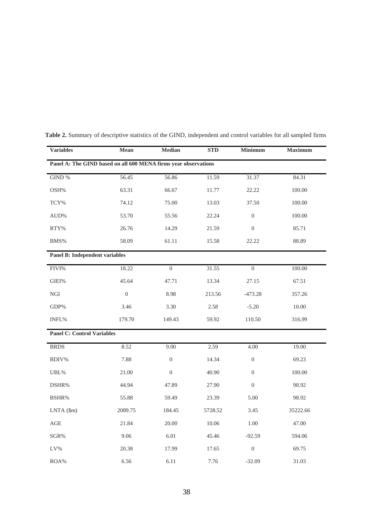| <b>Variables</b>                                                | Mean           | Median           | <b>STD</b> | <b>Minimum</b>   | <b>Maximum</b> |  |  |
|-----------------------------------------------------------------|----------------|------------------|------------|------------------|----------------|--|--|
| Panel A: The GIND based on all 600 MENA firms year observations |                |                  |            |                  |                |  |  |
| GIND %                                                          | 56.45          | 56.86            | 11.59      | 31.37            | 84.31          |  |  |
| OSH%                                                            | 63.31          | 66.67            | 11.77      | 22.22            | 100.00         |  |  |
| TCY%                                                            | 74.12          | 75.00            | 13.03      | 37.50            | 100.00         |  |  |
| AUD%                                                            | 53.70          | 55.56            | 22.24      | $\boldsymbol{0}$ | 100.00         |  |  |
| RTY%                                                            | 26.76          | 14.29            | 21.59      | $\overline{0}$   | 85.71          |  |  |
| BMS%                                                            | 58.09          | 61.11            | 15.58      | 22.22            | 88.89          |  |  |
| <b>Panel B: Independent variables</b>                           |                |                  |            |                  |                |  |  |
| FIVI%                                                           | 18.22          | $\boldsymbol{0}$ | 31.55      | $\boldsymbol{0}$ | 100.00         |  |  |
| GIEI%                                                           | 45.64          | 47.71            | 13.34      | 27.15            | 67.51          |  |  |
| <b>NGI</b>                                                      | $\overline{0}$ | 8.98             | 213.56     | $-473.28$        | 357.26         |  |  |
| ${\rm GDP}\%$                                                   | 3.46           | 3.30             | 2.58       | $-5.20$          | 10.00          |  |  |
| INFL%                                                           | 179.70         | 149.43           | 59.92      | 110.50           | 316.99         |  |  |
| <b>Panel C: Control Variables</b>                               |                |                  |            |                  |                |  |  |
| <b>BRDS</b>                                                     | 8.52           | 9.00             | 2.59       | 4.00             | 19.00          |  |  |
| BDIV%                                                           | 7.88           | $\boldsymbol{0}$ | 14.34      | $\boldsymbol{0}$ | 69.23          |  |  |
| UBL%                                                            | 21.00          | $\overline{0}$   | 40.90      | $\overline{0}$   | 100.00         |  |  |
| DSHR%                                                           | 44.94          | 47.89            | 27.90      | $\overline{0}$   | 98.92          |  |  |
| BSHR%                                                           | 55.88          | 59.49            | 23.39      | 5.00             | 98.92          |  |  |
| $LNTA$ (\$m)                                                    | 2089.75        | 184.45           | 5728.52    | 3.45             | 35222.66       |  |  |
| AGE                                                             | 21.84          | 20.00            | 10.06      | 1.00             | 47.00          |  |  |
| SGR%                                                            | 9.06           | 6.01             | 45.46      | $-92.59$         | 594.06         |  |  |
| LV%                                                             | 20.38          | 17.99            | 17.65      | $\boldsymbol{0}$ | 69.75          |  |  |
| ROA%                                                            | 6.56           | 6.11             | 7.76       | $-32.09$         | 31.03          |  |  |

**Table 2.** Summary of descriptive statistics of the GIND, independent and control variables for all sampled firms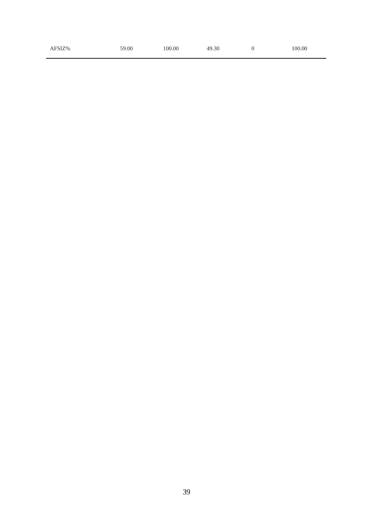| AFSIZ% | 59.00 | 100.00 | 49.30 | 100.00 |
|--------|-------|--------|-------|--------|
|        |       |        |       |        |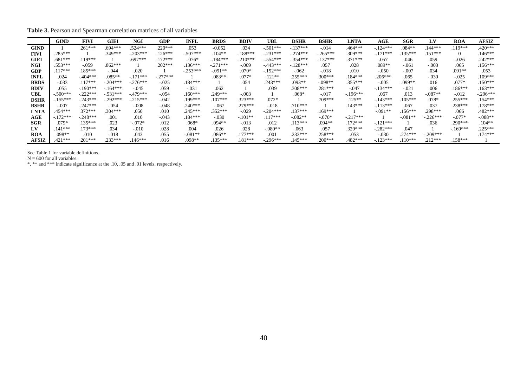**Table 3.** Pearson and Spearman correlation matrices of all variables

|              | <b>GIND</b> | <b>FIVI</b> | GIEI       | <b>NGI</b>  | GDP        | <b>INFL</b> | <b>BRDS</b> | <b>BDIV</b> | UBL         | <b>DSHR</b> | BSHR        | <b>LNTA</b> | AGE        | <b>SGR</b> | LV         | <b>ROA</b> | <b>AFSIZ</b> |
|--------------|-------------|-------------|------------|-------------|------------|-------------|-------------|-------------|-------------|-------------|-------------|-------------|------------|------------|------------|------------|--------------|
| <b>GIND</b>  |             | $.261***$   | .694***    | $.524***$   | $.220***$  | .053        | $-0.052$    | .034        | $-.501***$  | $-.137***$  | $-0.014$    | $.464***$   | $-124***$  | $.084**$   | $144***$   | $119***$   | $.420***$    |
| <b>FIVI</b>  | .285***     |             | $.349***$  | $-.203***$  | $.126***$  | $-.507***$  | $.104**$    | $-.188***$  | $-.231***$  | $-.274***$  | $-0.265***$ | 309***      | $-.171***$ | 135***     | 151***     |            | $.146***$    |
| <b>GIEI</b>  | $.681***$   | $.119***$   |            | $.697***$   | $.172***$  | $-.076*$    | $-.184***$  | $-.210***$  | $-0.554***$ | $-.354***$  | $-.137***$  | $.371***$   | .057       | .046       | .059       | $-.026$    | $.242***$    |
| <b>NGI</b>   | $.553***$   | $-.059$     | $.862***$  |             | $.202***$  | $.136***$   | $-.271***$  | $-.009$     | $-443***$   | $-.128***$  | .057        | .028        | $.089**$   | $-.061$    | $-.003$    | .065       | $.156***$    |
| <b>GDP</b>   | $.117***$   | $.185***$   | $-.044$    | .020        |            | $-0.253***$ | $-.091**$   | $.070*$     | $-.152***$  | $-.062$     | $-.018$     | .010        | $-.050$    | $-.007$    | .034       | $.091**$   | .053         |
| <b>INFL</b>  | .024        | $-404***$   | $.085**$   | $-.171***$  | $-.277***$ |             | $.083**$    | $.077*$     | $.121**$    | $.255***$   | $300***$    | $.184***$   | $.206***$  | .065       | $-.030$    | $-.025$    | $.109***$    |
| <b>BRDS</b>  | $-.033$     | $.117***$   | $-.204***$ | $-.276***$  | $-.025$    | $.184***$   |             | .054        | $.243***$   | $.093**$    | $-.098**$   | $.355***$   | $-.005$    | .099**     | .016       | $.077*$    | $.150***$    |
| <b>BDIV</b>  | .055        | $-.190***$  | $-164***$  | $-.045$     | .059       | $-.031$     | .062        |             | .039        | $308***$    | .281***     | $-.047$     | $-134***$  | $-.021$    | .006       | $.186***$  | $.163***$    |
| UBL          | $-.500***$  | $-.222***$  | $-.531***$ | $-479***$   | $-.054$    | $.160***$   | $.249***$   | $-.003$     |             | $.068*$     | $-.017$     | $-196***$   | .067       | .013       | $-.087**$  | $-.012$    | $-.296***$   |
| <b>DSHR</b>  | $-155***$   | $-.243***$  | $-.292***$ | $-0.215***$ | $-.042$    | .199***     | $.107***$   | $.323***$   | $.072*$     |             | 709***      | $.125**$    | $-143***$  | $105***$   | $.078*$    | 255***     | $.154***$    |
| <b>BSHR</b>  | $-.007$     | $-.247***$  | $-.054$    | $-.008$     | $-.048$    | $.240***$   | $-.067$     | $.279***$   | $-.018$     | $.710***$   |             | $.143***$   | $-.113***$ | .067       | .037       | $.238***$  | .178***      |
| <b>LNTA</b>  | .454***     | $.372***$   | $.304***$  | .050        | .010       | $.245***$   | $.352***$   | $-.029$     | $-.204***$  | $.137***$   | $.169***$   |             | $-0.091**$ | $.156***$  | $.298***$  | .066       | $.482***$    |
| AGE          | $-.172***$  | $-.248***$  | .001       | .010        | $-.043$    | .184***     | $-.030$     | $-.101**$   | $.117***$   | $-0.082**$  | $-.070*$    | $-.217***$  |            | $-.081**$  | $-.226***$ | $-.077*$   | $-.088**$    |
| <b>SGR</b>   | $.079*$     | $.135***$   | .023       | $-.072*$    | .012       | $.068*$     | $.094**$    | $-.013$     | .012        | $.113***$   | $.094**$    | $.172***$   | $-.121***$ |            | .036       | $.290***$  | $.104**$     |
| LV           | $.141***$   | 173***      | .034       | $-.010$     | .028       | .004        | .026        | .028        | $-080**$    | .063        | .057        | $.329***$   | $-.282***$ | .047       |            | $-169***$  | $.225***$    |
| <b>ROA</b>   | 098**       | .010        | $-.018$    | .043        | .055       | $-.081**$   | $.086**$    | $177***$    | .001        | $.233***$   | $.258***$   | .053        | $-.030$    | $.274***$  | $-.209***$ |            | $174***$     |
| <b>AFSIZ</b> | .421***     | $.201***$   | $.233***$  | $.146***$   | .016       | .098**      | $.135***$   | .181***     | $-0.296***$ | $.145***$   | $.200***$   | $.482***$   | $-123***$  | $110***$   | .212***    | $.158***$  |              |

See Table 1 for variable definitions.

 $N = 600$  for all variables.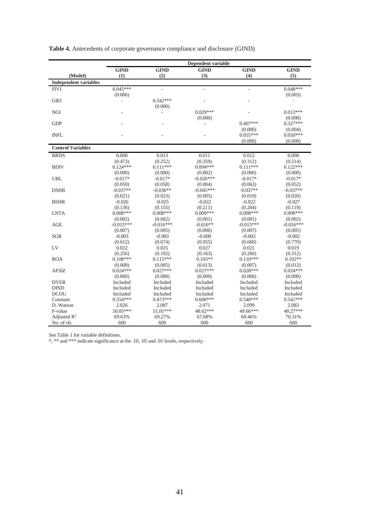|                              |             |                          | Dependent variable |                          |             |
|------------------------------|-------------|--------------------------|--------------------|--------------------------|-------------|
|                              | <b>GIND</b> | <b>GIND</b>              | <b>GIND</b>        | <b>GIND</b>              | <b>GIND</b> |
| (Model)                      | (1)         | (2)                      | (3)                | (4)                      | (5)         |
| <b>Independent variables</b> |             |                          |                    |                          |             |
| <b>FIVI</b>                  | $0.045***$  | $\overline{\phantom{a}}$ | $\frac{1}{2}$      | $\overline{\phantom{a}}$ | $0.048***$  |
|                              | (0.006)     |                          |                    |                          | (0.003)     |
| <b>GIEI</b>                  |             | $0.342***$               |                    |                          |             |
|                              |             | (0.000)                  |                    |                          |             |
| <b>NGI</b>                   |             | ÷,                       | $0.029***$         |                          | $0.013***$  |
|                              |             |                          | (0.000)            |                          | (0.000)     |
| <b>GDP</b>                   |             |                          |                    | $0.407***$               | $0.327***$  |
|                              |             |                          |                    | (0.000)                  | (0.004)     |
| <b>INFL</b>                  |             |                          |                    | $0.055***$               | $0.050***$  |
|                              |             |                          |                    | (0.000)                  | (0.000)     |
| <b>Control Variables</b>     |             |                          |                    |                          |             |
| <b>BRDS</b>                  | 0.008       | 0.013                    | 0.011              | 0.012                    | 0.008       |
|                              | (0.473)     | (0.252)                  | (0.359)            | (0.312)                  | (0.514)     |
| <b>BDIV</b>                  | $0.124***$  | $0.111***$               | $0.094***$         | $0.111***$               | $0.122***$  |
|                              | (0.000)     | (0.000)                  | (0.002)            | (0.000)                  | (0.000)     |
| <b>UBL</b>                   | $-0.017*$   | $-0.017*$                | $-0.026***$        | $-0.017*$                | $-0.017*$   |
|                              | (0.059)     | (0.058)                  | (0.004)            | (0.063)                  | (0.052)     |
| <b>DSHR</b>                  | $-0.037**$  | $-0.036**$               | $-0.045***$        | $-0.037**$               | $-0.037**$  |
|                              | (0.021)     | (0.023)                  | (0.005)            | (0.019)                  | (0.020)     |
| <b>BSHR</b>                  | $-0.026$    | $-0.025$                 | $-0.022$           | $-0.022$                 | $-0.027$    |
|                              | (0.136)     | (0.155)                  | (0.211)            | (0.204)                  | (0.119)     |
| <b>LNTA</b>                  | $0.008***$  | $0.008***$               | $0.009***$         | $0.008***$               | $0.008***$  |
|                              | (0.002)     | (0.002)                  | (0.001)            | (0.001)                  | (0.002)     |
| AGE                          | $-0.015***$ | $-0.016***$              | $-0.016**$         | $-0.015***$              | $-0.016***$ |
|                              | (0.007)     | (0.005)                  | (0.006)            | (0.007)                  | (0.005)     |
| <b>SGR</b>                   | $-0.003$    | $-0.003$                 | $-0.000$           | $-0.003$                 | $-0.002$    |
|                              | (0.612)     | (0.674)                  | (0.955)            | (0.660)                  | (0.770)     |
| LV                           | 0.022       | 0.025                    | 0.027              | 0.021                    | 0.019       |
|                              | (0.256)     | (0.192)                  | (0.163)            | (0.260)                  | (0.312)     |
| <b>ROA</b>                   | $0.108***$  | $0.115***$               | $0.103**$          | $0.110***$               | $0.102**$   |
|                              | (0.008)     | (0.005)                  | (0.013)            | (0.007)                  | (0.012)     |
| <b>AFSIZ</b>                 | $0.024***$  | $0.027***$               | $0.027***$         | $0.028***$               | $0.024***$  |
|                              | (0.000)     | (0.000)                  | (0.000)            | (0.000)                  | (0.000)     |
| <b>DYER</b>                  | Included    | Included                 | Included           | Included                 | Included    |
| <b>DIND</b>                  | Included    | Included                 | Included           | Included                 | Included    |
| <b>DCOU</b>                  | Included    | Included                 | Included           | Included                 | Included    |
| Constant                     | $0.554***$  | $0.473***$               | $0.608***$         | $0.540***$               | $0.541***$  |
| D. Watson                    | 2.026       | 2.087                    | 2.071              | 2.099                    | 2.083       |
| F-value                      | 50.05***    | 51.01***                 | 48.62***           | 49.66***                 | 48.27***    |
| Adjusted $\mathbb{R}^2$      | 69.63%      | 69.27%                   | 67.68%             | 69.46%                   | 70.31%      |
| No. of ob.                   | 600         | 600                      | 600                | 600                      | 600         |

**Table 4.** Antecedents of corporate governance compliance and disclosure (GIND)

See Table 1 for variable definitions.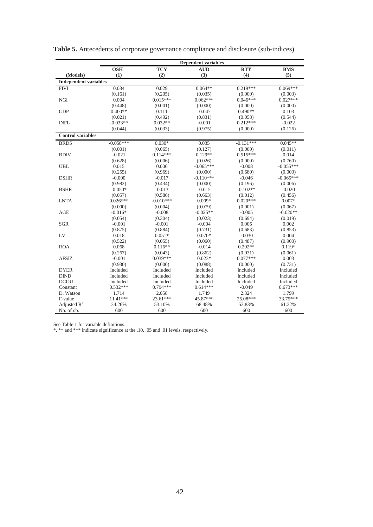|                              |             |             | <b>Dependent variables</b> |             |             |
|------------------------------|-------------|-------------|----------------------------|-------------|-------------|
|                              | <b>OSH</b>  | <b>TCY</b>  | <b>AUD</b>                 | <b>RTY</b>  | <b>BMS</b>  |
| (Models)                     | (1)         | (2)         | (3)                        | (4)         | (5)         |
| <b>Independent variables</b> |             |             |                            |             |             |
| <b>FIVI</b>                  | 0.034       | 0.029       | $0.064**$                  | $0.219***$  | $0.069***$  |
|                              | (0.161)     | (0.205)     | (0.035)                    | (0.000)     | (0.003)     |
| <b>NGI</b>                   | 0.004       | $0.015***$  | $0.062***$                 | $0.046***$  | $0.027***$  |
|                              | (0.448)     | (0.001)     | (0.000)                    | (0.000)     | (0.000)     |
| <b>GDP</b>                   | $0.400**$   | 0.111       | $-0.047$                   | $0.490**$   | 0.103       |
|                              | (0.021)     | (0.492)     | (0.831)                    | (0.058)     | (0.544)     |
| <b>INFL</b>                  | $-0.033**$  | $0.032**$   | $-0.001$                   | $0.212***$  | $-0.022$    |
|                              | (0.044)     | (0.033)     | (0.975)                    | (0.000)     | (0.126)     |
| <b>Control variables</b>     |             |             |                            |             |             |
| <b>BRDS</b>                  | $-0.058***$ | $0.030*$    | 0.035                      | $-0.131***$ | $0.045**$   |
|                              | (0.001)     | (0.065)     | (0.127)                    | (0.000)     | (0.011)     |
| <b>BDIV</b>                  | $-0.021$    | $0.114***$  | $0.129**$                  | $0.515***$  | 0.014       |
|                              | (0.628)     | (0.006)     | (0.026)                    | (0.000)     | (0.760)     |
| <b>UBL</b>                   | 0.015       | 0.000       | $-0.065***$                | $-0.008$    | $-0.055***$ |
|                              | (0.255)     | (0.969)     | (0.000)                    | (0.680)     | (0.000)     |
| <b>DSHR</b>                  | $-0.000$    | $-0.017$    | $-0.110***$                | $-0.046$    | $-0.065***$ |
|                              | (0.982)     | (0.434)     | (0.000)                    | (0.196)     | (0.006)     |
| <b>BSHR</b>                  | $-0.050*$   | $-0.013$    | $-0.015$                   | $-0.102**$  | $-0.020$    |
|                              | (0.057)     | (0.586)     | (0.663)                    | (0.012)     | (0.456)     |
| <b>LNTA</b>                  | $0.026***$  | $-0.010***$ | $0.009*$                   | $0.020***$  | $0.007*$    |
|                              | (0.000)     | (0.004)     | (0.079)                    | (0.001)     | (0.067)     |
| AGE                          | $-0.016*$   | $-0.008$    | $-0.025**$                 | $-0.005$    | $-0.020**$  |
|                              | (0.054)     | (0.304)     | (0.023)                    | (0.694)     | (0.019)     |
| <b>SGR</b>                   | $-0.001$    | $-0.001$    | $-0.004$                   | 0.006       | 0.002       |
|                              | (0.875)     | (0.884)     | (0.731)                    | (0.683)     | (0.853)     |
| LV                           | 0.018       | $0.051*$    | $0.070*$                   | $-0.030$    | 0.004       |
|                              | (0.522)     | (0.055)     | (0.060)                    | (0.487)     | (0.900)     |
| <b>ROA</b>                   | 0.068       | $0.116**$   | $-0.014$                   | $0.202**$   | $0.119*$    |
|                              | (0.267)     | (0.043)     | (0.862)                    | (0.031)     | (0.061)     |
| <b>AFSIZ</b>                 | $-0.001$    | $0.039***$  | $0.023*$                   | $0.077***$  | 0.003       |
|                              | (0.930)     | (0.000)     | (0.088)                    | (0.000)     | (0.731)     |
| <b>DYER</b>                  | Included    | Included    | Included                   | Included    | Included    |
| <b>DIND</b>                  | Included    | Included    | Included                   | Included    | Included    |
| <b>DCOU</b>                  | Included    | Included    | Included                   | Included    | Included    |
| Constant                     | $0.532***$  | $0.794***$  | $0.614***$                 | $-0.049$    | $0.673***$  |
| D. Watson                    | 1.714       | 2.058       | 1.749                      | 2.324       | 1.799       |
| F-value                      | 11.41***    | $23.61***$  | 45.87***                   | 25.08***    | 33.75***    |
| Adjusted $R^2$               | 34.26%      | 53.10%      | 68.48%                     | 53.83%      | 61.32%      |
| No. of ob.                   | 600         | 600         | 600                        | 600         | 600         |

**Table 5.** Antecedents of corporate governance compliance and disclosure (sub-indices)

See Table 1 for variable definitions.